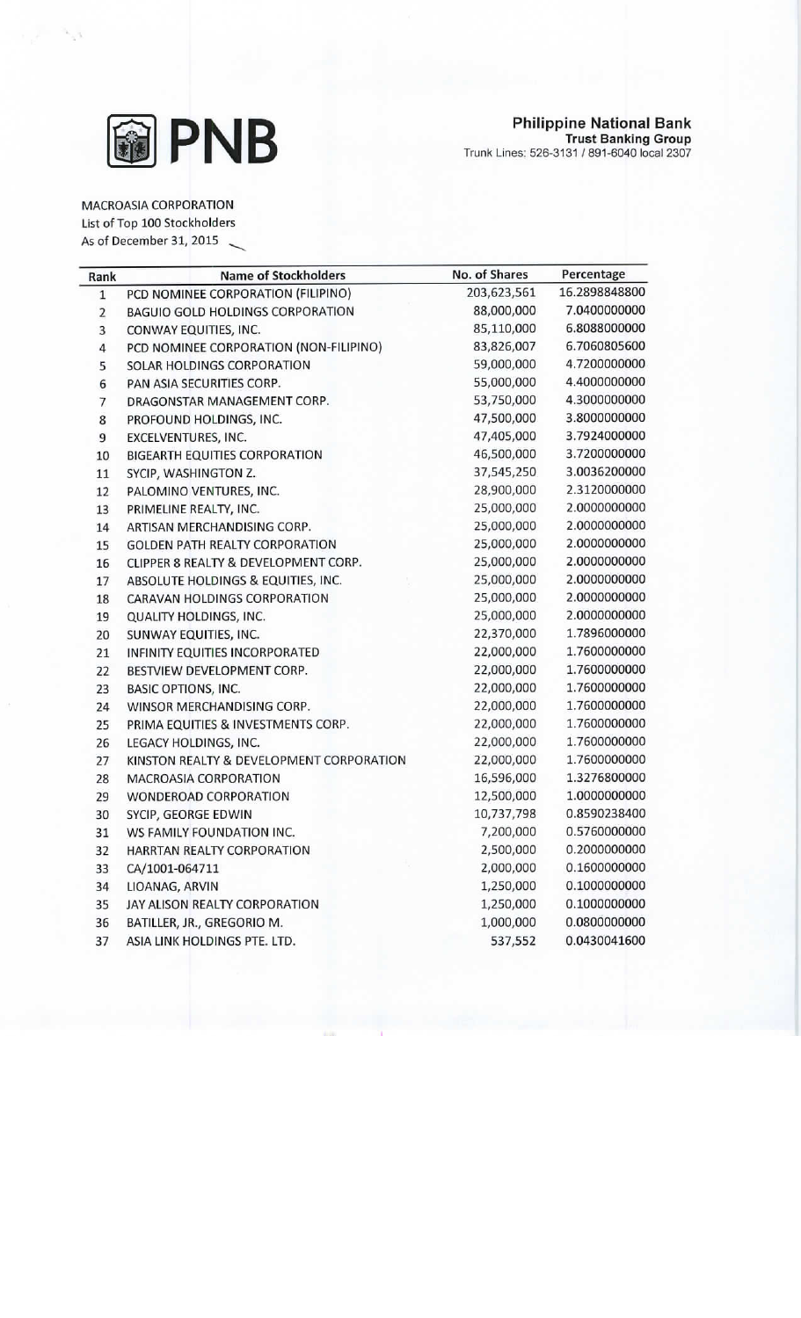

MACROASIA CORPORATION

List of Top 100 Stockholders

As of December 31, 2015

| Rank           | <b>Name of Stockholders</b>              | No. of Shares | Percentage    |
|----------------|------------------------------------------|---------------|---------------|
| $\mathbf{1}$   | PCD NOMINEE CORPORATION (FILIPINO)       | 203,623,561   | 16.2898848800 |
| $\overline{2}$ | <b>BAGUIO GOLD HOLDINGS CORPORATION</b>  | 88,000,000    | 7.0400000000  |
| 3              | CONWAY EQUITIES, INC.                    | 85,110,000    | 6.8088000000  |
| 4              | PCD NOMINEE CORPORATION (NON-FILIPINO)   | 83,826,007    | 6.7060805600  |
| 5              | SOLAR HOLDINGS CORPORATION               | 59,000,000    | 4.7200000000  |
| 6              | PAN ASIA SECURITIES CORP.                | 55,000,000    | 4.4000000000  |
| 7              | DRAGONSTAR MANAGEMENT CORP.              | 53,750,000    | 4.3000000000  |
| 8              | PROFOUND HOLDINGS, INC.                  | 47,500,000    | 3.8000000000  |
| 9              | EXCELVENTURES, INC.                      | 47,405,000    | 3.7924000000  |
| 10             | <b>BIGEARTH EQUITIES CORPORATION</b>     | 46,500,000    | 3.7200000000  |
| 11             | SYCIP, WASHINGTON Z.                     | 37,545,250    | 3.0036200000  |
| 12             | PALOMINO VENTURES, INC.                  | 28,900,000    | 2.3120000000  |
| 13             | PRIMELINE REALTY, INC.                   | 25,000,000    | 2.0000000000  |
| 14             | ARTISAN MERCHANDISING CORP.              | 25,000,000    | 2.0000000000  |
| 15             | <b>GOLDEN PATH REALTY CORPORATION</b>    | 25,000,000    | 2.0000000000  |
| 16             | CLIPPER 8 REALTY & DEVELOPMENT CORP.     | 25,000,000    | 2.0000000000  |
| 17             | ABSOLUTE HOLDINGS & EQUITIES, INC.       | 25,000,000    | 2.0000000000  |
| 18             | CARAVAN HOLDINGS CORPORATION             | 25,000,000    | 2.0000000000  |
| 19             | QUALITY HOLDINGS, INC.                   | 25,000,000    | 2.0000000000  |
| 20             | SUNWAY EQUITIES, INC.                    | 22,370,000    | 1.7896000000  |
| 21             | INFINITY EQUITIES INCORPORATED           | 22,000,000    | 1.7600000000  |
| 22             | BESTVIEW DEVELOPMENT CORP.               | 22,000,000    | 1.7600000000  |
| 23             | <b>BASIC OPTIONS, INC.</b>               | 22,000,000    | 1.7600000000  |
| 24             | WINSOR MERCHANDISING CORP.               | 22,000,000    | 1.7600000000  |
| 25             | PRIMA EQUITIES & INVESTMENTS CORP.       | 22,000,000    | 1.7600000000  |
| 26             | LEGACY HOLDINGS, INC.                    | 22,000,000    | 1.7600000000  |
| 27             | KINSTON REALTY & DEVELOPMENT CORPORATION | 22,000,000    | 1.7600000000  |
| 28             | <b>MACROASIA CORPORATION</b>             | 16,596,000    | 1.3276800000  |
| 29             | WONDEROAD CORPORATION                    | 12,500,000    | 1.0000000000  |
| 30             | SYCIP, GEORGE EDWIN                      | 10,737,798    | 0.8590238400  |
| 31             | WS FAMILY FOUNDATION INC.                | 7,200,000     | 0.5760000000  |
| 32             | HARRTAN REALTY CORPORATION               | 2,500,000     | 0.2000000000  |
| 33             | CA/1001-064711                           | 2,000,000     | 0.1600000000  |
| 34             | LIOANAG, ARVIN                           | 1,250,000     | 0.1000000000  |
| 35             | JAY ALISON REALTY CORPORATION            | 1,250,000     | 0.1000000000  |
| 36             | BATILLER, JR., GREGORIO M.               | 1,000,000     | 0.0800000000  |
| 37             | ASIA LINK HOLDINGS PTE. LTD.             | 537,552       | 0.0430041600  |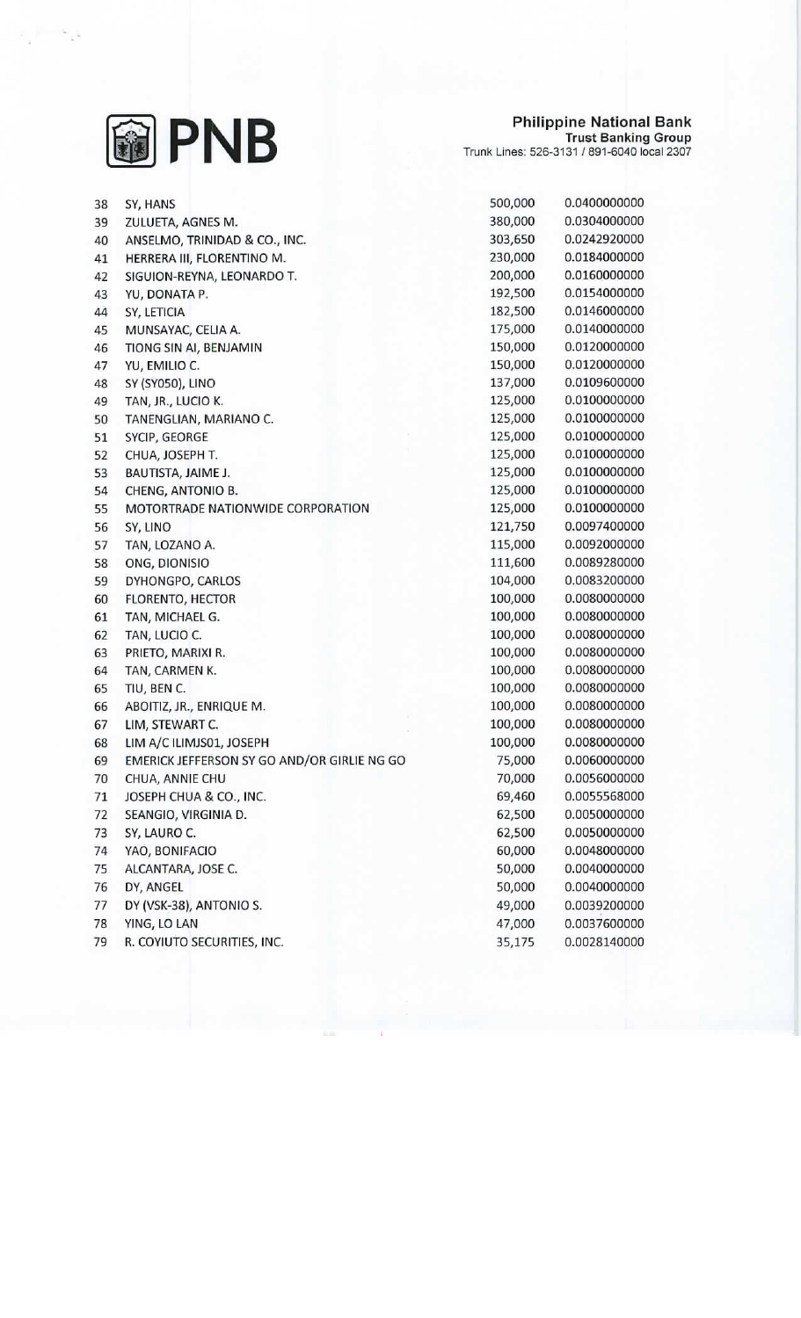

## Philippine National Bank<br>Trust Banking Group<br>Trunk Lines: 526-3131 / 891-6040 local 2307

| 38 | SY, HANS                                    | 500,000 | 0.0400000000 |
|----|---------------------------------------------|---------|--------------|
| 39 | ZULUETA, AGNES M.                           | 380,000 | 0.0304000000 |
| 40 | ANSELMO, TRINIDAD & CO., INC.               | 303,650 | 0.0242920000 |
| 41 | HERRERA III, FLORENTINO M.                  | 230,000 | 0.0184000000 |
| 42 | SIGUION-REYNA, LEONARDO T.                  | 200,000 | 0.0160000000 |
| 43 | YU, DONATA P.                               | 192,500 | 0.0154000000 |
| 44 | SY, LETICIA                                 | 182,500 | 0.0146000000 |
| 45 | MUNSAYAC, CELIA A.                          | 175,000 | 0.0140000000 |
| 46 | TIONG SIN AI, BENJAMIN                      | 150,000 | 0.0120000000 |
| 47 | YU, EMILIO C.                               | 150,000 | 0.0120000000 |
| 48 | SY (SY050), LINO                            | 137,000 | 0.0109600000 |
| 49 | TAN, JR., LUCIO K.                          | 125,000 | 0.0100000000 |
| 50 | TANENGLIAN, MARIANO C.                      | 125,000 | 0.0100000000 |
| 51 | SYCIP, GEORGE                               | 125,000 | 0.0100000000 |
| 52 | CHUA, JOSEPH T.                             | 125,000 | 0.0100000000 |
| 53 | BAUTISTA, JAIME J.                          | 125,000 | 0.0100000000 |
| 54 | CHENG, ANTONIO B.                           | 125,000 | 0.0100000000 |
| 55 | MOTORTRADE NATIONWIDE CORPORATION           | 125,000 | 0.0100000000 |
| 56 | SY, LINO                                    | 121,750 | 0.0097400000 |
| 57 | TAN, LOZANO A.                              | 115,000 | 0.0092000000 |
| 58 | ONG, DIONISIO                               | 111,600 | 0.0089280000 |
| 59 | DYHONGPO, CARLOS                            | 104,000 | 0.0083200000 |
| 60 | FLORENTO, HECTOR                            | 100,000 | 0.0080000000 |
| 61 | TAN, MICHAEL G.                             | 100,000 | 0.0080000000 |
| 62 | TAN, LUCIO C.                               | 100,000 | 0.0080000000 |
| 63 | PRIETO, MARIXI R.                           | 100,000 | 0.0080000000 |
| 64 | TAN, CARMEN K.                              | 100,000 | 0.0080000000 |
| 65 | TIU, BEN C.                                 | 100,000 | 0.0080000000 |
| 66 | ABOITIZ, JR., ENRIQUE M.                    | 100,000 | 0.0080000000 |
| 67 | LIM, STEWART C.                             | 100,000 | 0.0080000000 |
| 68 | LIM A/C ILIMJS01, JOSEPH                    | 100,000 | 0.0080000000 |
| 69 | EMERICK JEFFERSON SY GO AND/OR GIRLIE NG GO | 75,000  | 0.0060000000 |
| 70 | CHUA, ANNIE CHU                             | 70,000  | 0.0056000000 |
| 71 | JOSEPH CHUA & CO., INC.                     | 69,460  | 0.0055568000 |
| 72 | SEANGIO, VIRGINIA D.                        | 62,500  | 0.0050000000 |
| 73 | SY, LAURO C.                                | 62,500  | 0.0050000000 |
| 74 | YAO, BONIFACIO                              | 60,000  | 0.0048000000 |
| 75 | ALCANTARA, JOSE C.                          | 50,000  | 0.0040000000 |
| 76 | DY, ANGEL                                   | 50,000  | 0.0040000000 |
| 77 | DY (VSK-38), ANTONIO S.                     | 49,000  | 0.0039200000 |
| 78 | YING, LO LAN                                | 47,000  | 0.0037600000 |
| 79 | R. COYIUTO SECURITIES, INC.                 | 35,175  | 0.0028140000 |
|    |                                             |         |              |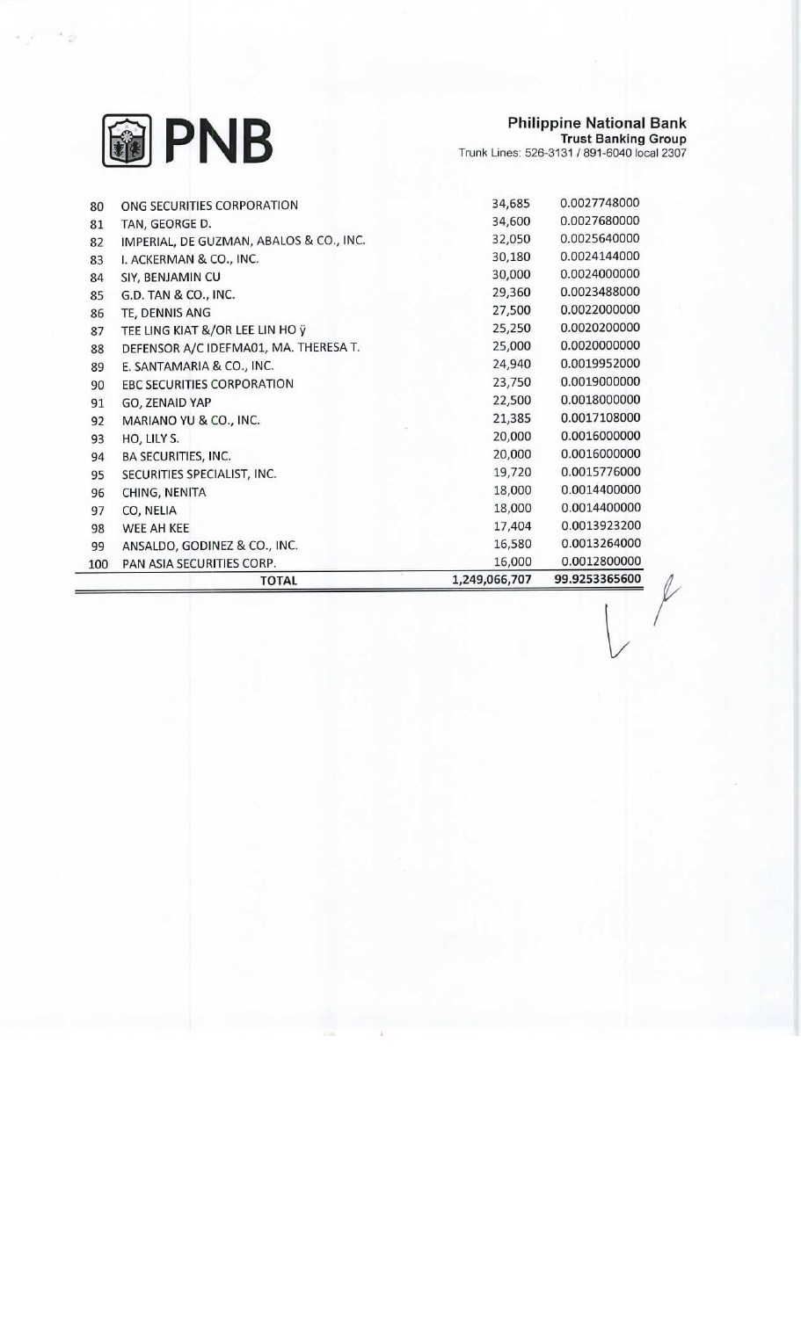

## Philippine National Bank<br>Trust Banking Group<br>Trunk Lines: 526-3131 / 891-6040 local 2307

|     | <b>TOTAL</b>                            | 1,249,066,707 | 99.9253365600 |
|-----|-----------------------------------------|---------------|---------------|
| 100 | PAN ASIA SECURITIES CORP.               | 16,000        | 0.0012800000  |
| 99  | ANSALDO, GODINEZ & CO., INC.            | 16,580        | 0.0013264000  |
| 98  | WEE AH KEE                              | 17,404        | 0.0013923200  |
| 97  | CO, NELIA                               | 18,000        | 0.0014400000  |
| 96  | CHING, NENITA                           | 18,000        | 0.0014400000  |
| 95  | SECURITIES SPECIALIST, INC.             | 19,720        | 0.0015776000  |
| 94  | BA SECURITIES, INC.                     | 20,000        | 0.0016000000  |
| 93  | HO, LILY S.                             | 20,000        | 0.0016000000  |
| 92  | MARIANO YU & CO., INC.                  | 21,385        | 0.0017108000  |
| 91  | GO, ZENAID YAP                          | 22,500        | 0.0018000000  |
| 90  | <b>EBC SECURITIES CORPORATION</b>       | 23,750        | 0.0019000000  |
| 89  | E. SANTAMARIA & CO., INC.               | 24,940        | 0.0019952000  |
| 88  | DEFENSOR A/C IDEFMA01, MA. THERESA T.   | 25,000        | 0.0020000000  |
| 87  | TEE LING KIAT &/OR LEE LIN HO ÿ         | 25,250        | 0.0020200000  |
| 86  | TE, DENNIS ANG                          | 27,500        | 0.0022000000  |
| 85  | G.D. TAN & CO., INC.                    | 29,360        | 0.0023488000  |
| 84  | SIY, BENJAMIN CU                        | 30,000        | 0.0024000000  |
| 83  | I. ACKERMAN & CO., INC.                 | 30,180        | 0.0024144000  |
| 82  | IMPERIAL, DE GUZMAN, ABALOS & CO., INC. | 32,050        | 0.0025640000  |
| 81  | TAN, GEORGE D.                          | 34,600        | 0.0027680000  |
| 80  | ONG SECURITIES CORPORATION              | 34,685        | 0.0027748000  |

 $\ell$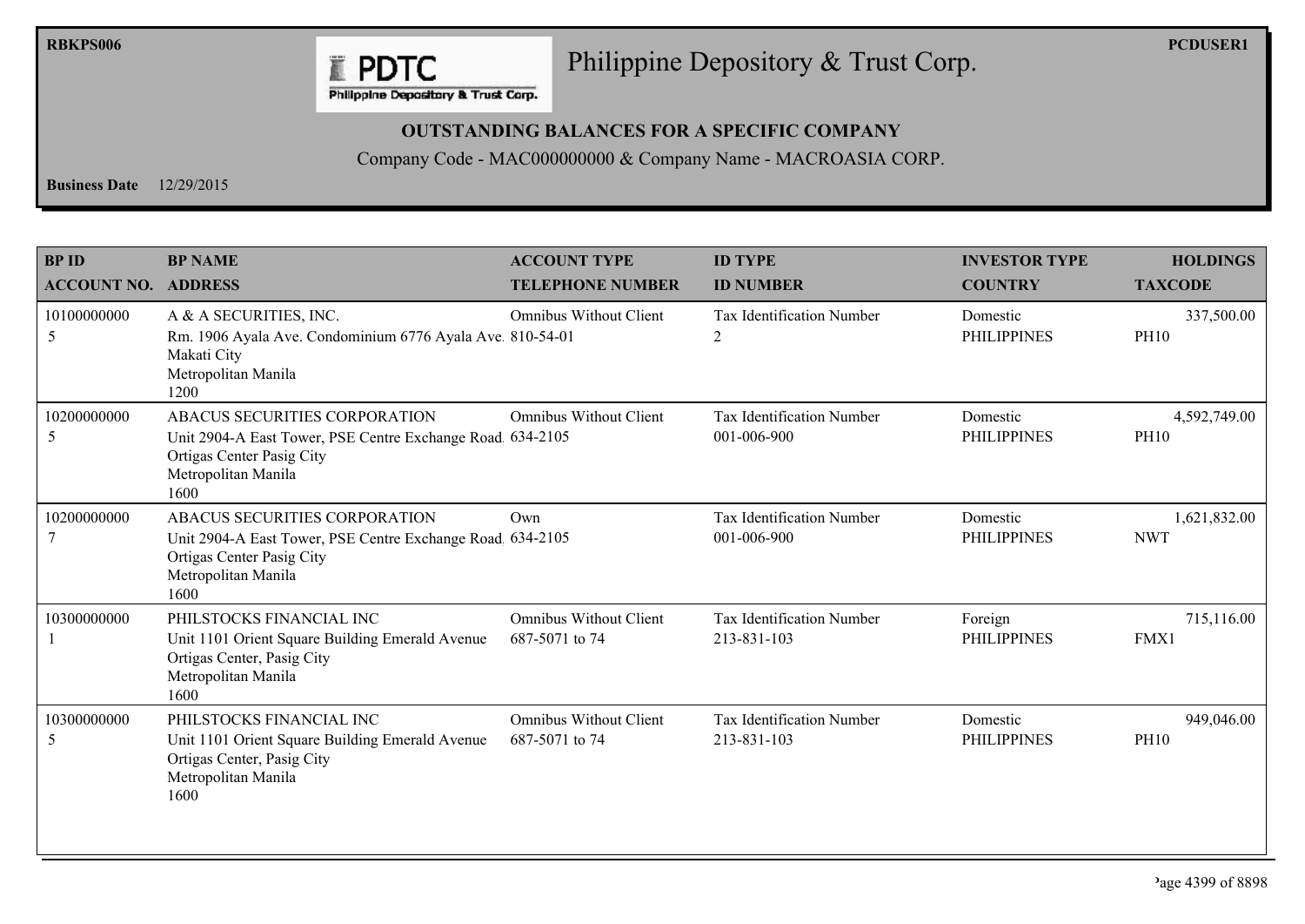

## Philippine Depository & Trust Corp.

Philippine Depository & Trust Corp.

## **OUTSTANDING BALANCES FOR A SPECIFIC COMPANY**

Company Code - MAC000000000 & Company Name - MACROASIA CORP.

**Business Date**  $12/29/2015$ 

| <b>BPID</b><br><b>ACCOUNT NO.</b> | <b>BP NAME</b><br><b>ADDRESS</b>                                                                                                                        | <b>ACCOUNT TYPE</b><br><b>TELEPHONE NUMBER</b>  | <b>ID TYPE</b><br><b>ID NUMBER</b>              | <b>INVESTOR TYPE</b><br><b>COUNTRY</b> | <b>HOLDINGS</b><br><b>TAXCODE</b> |
|-----------------------------------|---------------------------------------------------------------------------------------------------------------------------------------------------------|-------------------------------------------------|-------------------------------------------------|----------------------------------------|-----------------------------------|
| 10100000000<br>5                  | A & A SECURITIES, INC.<br>Rm. 1906 Ayala Ave. Condominium 6776 Ayala Ave. 810-54-01<br>Makati City<br>Metropolitan Manila<br>1200                       | <b>Omnibus Without Client</b>                   | Tax Identification Number<br>2                  | Domestic<br><b>PHILIPPINES</b>         | 337,500.00<br><b>PH10</b>         |
| 10200000000<br>5                  | ABACUS SECURITIES CORPORATION<br>Unit 2904-A East Tower, PSE Centre Exchange Road, 634-2105<br>Ortigas Center Pasig City<br>Metropolitan Manila<br>1600 | <b>Omnibus Without Client</b>                   | Tax Identification Number<br>001-006-900        | Domestic<br><b>PHILIPPINES</b>         | 4,592,749.00<br><b>PH10</b>       |
| 10200000000<br>7                  | ABACUS SECURITIES CORPORATION<br>Unit 2904-A East Tower, PSE Centre Exchange Road, 634-2105<br>Ortigas Center Pasig City<br>Metropolitan Manila<br>1600 | Own                                             | Tax Identification Number<br>001-006-900        | Domestic<br><b>PHILIPPINES</b>         | 1,621,832.00<br><b>NWT</b>        |
| 10300000000                       | PHILSTOCKS FINANCIAL INC<br>Unit 1101 Orient Square Building Emerald Avenue<br>Ortigas Center, Pasig City<br>Metropolitan Manila<br>1600                | <b>Omnibus Without Client</b><br>687-5071 to 74 | Tax Identification Number<br>213-831-103        | Foreign<br><b>PHILIPPINES</b>          | 715,116.00<br>FMX1                |
| 10300000000<br>5                  | PHILSTOCKS FINANCIAL INC<br>Unit 1101 Orient Square Building Emerald Avenue<br>Ortigas Center, Pasig City<br>Metropolitan Manila<br>1600                | <b>Omnibus Without Client</b><br>687-5071 to 74 | <b>Tax Identification Number</b><br>213-831-103 | Domestic<br><b>PHILIPPINES</b>         | 949,046.00<br><b>PH10</b>         |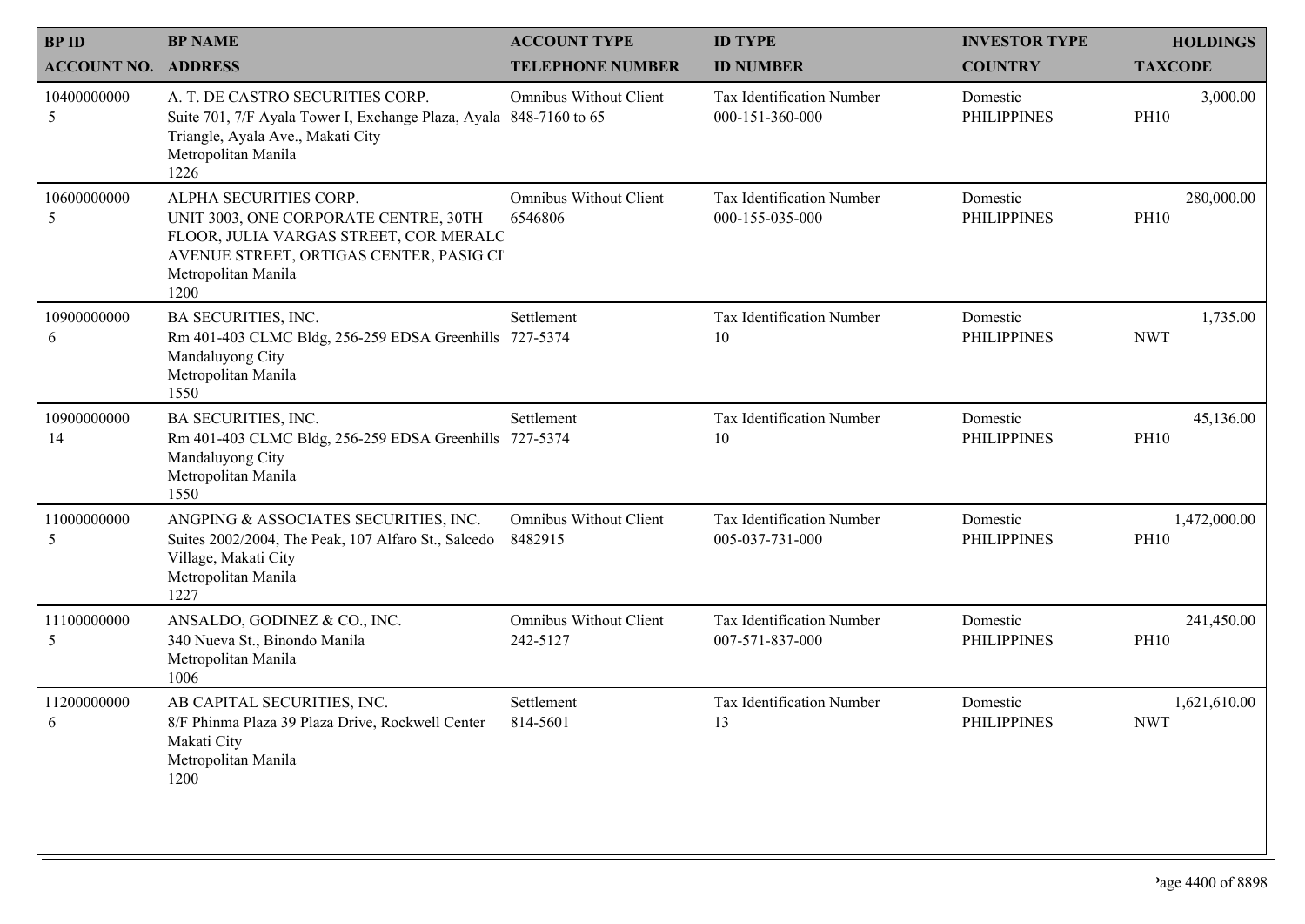| <b>BPID</b>                | <b>BP NAME</b>                                                                                                                                                                      | <b>ACCOUNT TYPE</b>                       | <b>ID TYPE</b>                                      | <b>INVESTOR TYPE</b>           | <b>HOLDINGS</b>             |
|----------------------------|-------------------------------------------------------------------------------------------------------------------------------------------------------------------------------------|-------------------------------------------|-----------------------------------------------------|--------------------------------|-----------------------------|
| <b>ACCOUNT NO. ADDRESS</b> |                                                                                                                                                                                     | <b>TELEPHONE NUMBER</b>                   | <b>ID NUMBER</b>                                    | <b>COUNTRY</b>                 | <b>TAXCODE</b>              |
| 10400000000<br>5           | A. T. DE CASTRO SECURITIES CORP.<br>Suite 701, 7/F Ayala Tower I, Exchange Plaza, Ayala 848-7160 to 65<br>Triangle, Ayala Ave., Makati City<br>Metropolitan Manila<br>1226          | <b>Omnibus Without Client</b>             | Tax Identification Number<br>000-151-360-000        | Domestic<br><b>PHILIPPINES</b> | 3,000.00<br><b>PH10</b>     |
| 10600000000<br>5           | ALPHA SECURITIES CORP.<br>UNIT 3003, ONE CORPORATE CENTRE, 30TH<br>FLOOR, JULIA VARGAS STREET, COR MERALC<br>AVENUE STREET, ORTIGAS CENTER, PASIG CI<br>Metropolitan Manila<br>1200 | <b>Omnibus Without Client</b><br>6546806  | <b>Tax Identification Number</b><br>000-155-035-000 | Domestic<br><b>PHILIPPINES</b> | 280,000.00<br><b>PH10</b>   |
| 10900000000<br>6           | <b>BA SECURITIES, INC.</b><br>Rm 401-403 CLMC Bldg, 256-259 EDSA Greenhills 727-5374<br>Mandaluyong City<br>Metropolitan Manila<br>1550                                             | Settlement                                | Tax Identification Number<br>10                     | Domestic<br><b>PHILIPPINES</b> | 1,735.00<br><b>NWT</b>      |
| 10900000000<br>14          | BA SECURITIES, INC.<br>Rm 401-403 CLMC Bldg, 256-259 EDSA Greenhills 727-5374<br>Mandaluyong City<br>Metropolitan Manila<br>1550                                                    | Settlement                                | Tax Identification Number<br>10                     | Domestic<br><b>PHILIPPINES</b> | 45,136.00<br><b>PH10</b>    |
| 11000000000<br>5           | ANGPING & ASSOCIATES SECURITIES, INC.<br>Suites 2002/2004, The Peak, 107 Alfaro St., Salcedo<br>Village, Makati City<br>Metropolitan Manila<br>1227                                 | <b>Omnibus Without Client</b><br>8482915  | Tax Identification Number<br>005-037-731-000        | Domestic<br><b>PHILIPPINES</b> | 1,472,000.00<br><b>PH10</b> |
| 11100000000<br>5           | ANSALDO, GODINEZ & CO., INC.<br>340 Nueva St., Binondo Manila<br>Metropolitan Manila<br>1006                                                                                        | <b>Omnibus Without Client</b><br>242-5127 | Tax Identification Number<br>007-571-837-000        | Domestic<br><b>PHILIPPINES</b> | 241,450.00<br>PH10          |
| 11200000000                | AB CAPITAL SECURITIES, INC.<br>8/F Phinma Plaza 39 Plaza Drive, Rockwell Center<br>Makati City<br>Metropolitan Manila<br>1200                                                       | Settlement<br>814-5601                    | Tax Identification Number<br>13                     | Domestic<br><b>PHILIPPINES</b> | 1,621,610.00<br><b>NWT</b>  |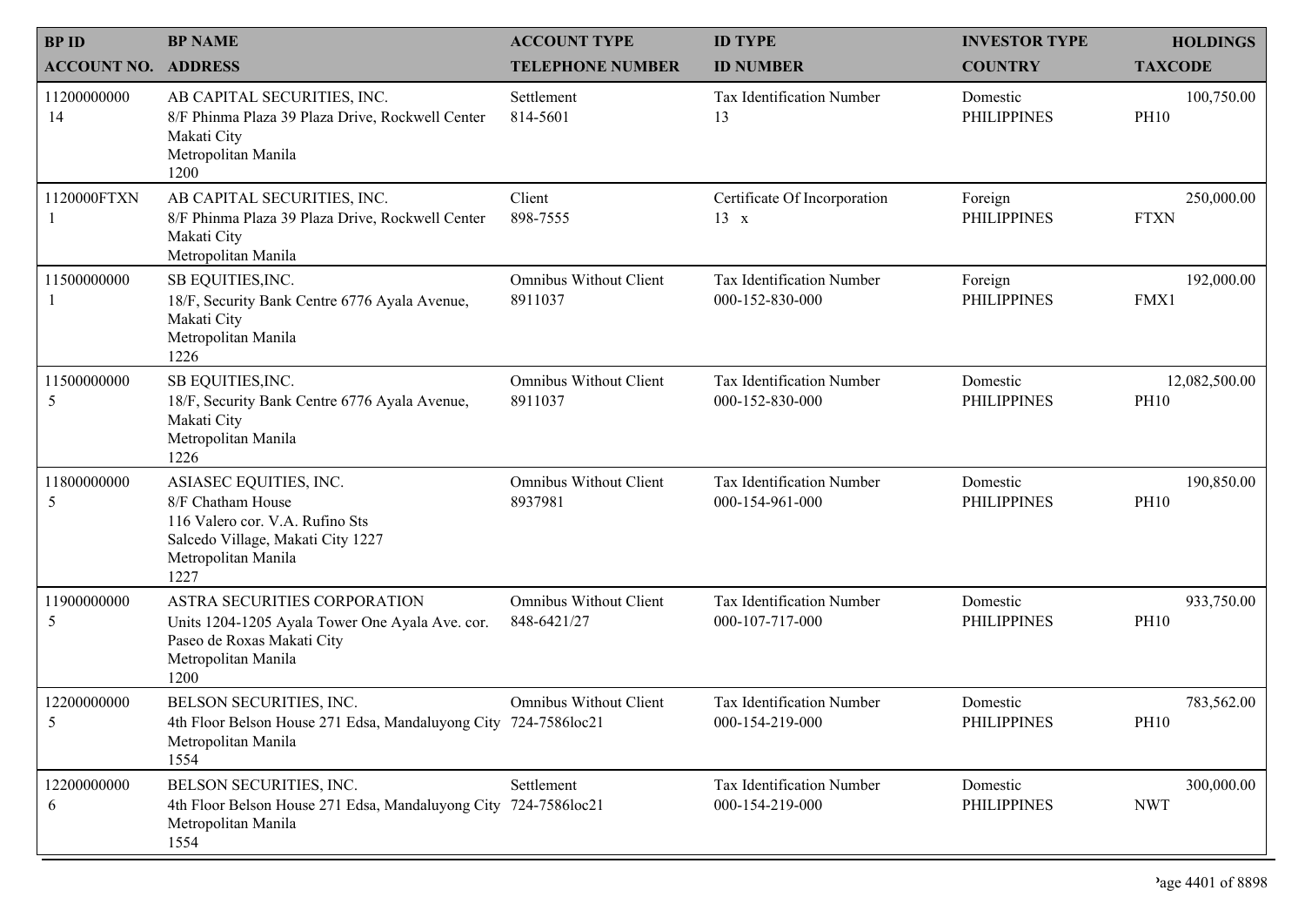| <b>BPID</b>                | <b>BP NAME</b>                                                                                                                                     | <b>ACCOUNT TYPE</b>                      | <b>ID TYPE</b>                                      | <b>INVESTOR TYPE</b>           | <b>HOLDINGS</b>              |
|----------------------------|----------------------------------------------------------------------------------------------------------------------------------------------------|------------------------------------------|-----------------------------------------------------|--------------------------------|------------------------------|
| <b>ACCOUNT NO. ADDRESS</b> |                                                                                                                                                    | <b>TELEPHONE NUMBER</b>                  | <b>ID NUMBER</b>                                    | <b>COUNTRY</b>                 | <b>TAXCODE</b>               |
| 11200000000<br>14          | AB CAPITAL SECURITIES, INC.<br>8/F Phinma Plaza 39 Plaza Drive, Rockwell Center<br>Makati City<br>Metropolitan Manila<br>1200                      | Settlement<br>814-5601                   | Tax Identification Number<br>13                     | Domestic<br><b>PHILIPPINES</b> | 100,750.00<br><b>PH10</b>    |
| 1120000FTXN                | AB CAPITAL SECURITIES, INC.<br>8/F Phinma Plaza 39 Plaza Drive, Rockwell Center<br>Makati City<br>Metropolitan Manila                              | Client<br>898-7555                       | Certificate Of Incorporation<br>$13 \times$         | Foreign<br><b>PHILIPPINES</b>  | 250,000.00<br><b>FTXN</b>    |
| 11500000000                | SB EQUITIES, INC.<br>18/F, Security Bank Centre 6776 Ayala Avenue,<br>Makati City<br>Metropolitan Manila<br>1226                                   | <b>Omnibus Without Client</b><br>8911037 | Tax Identification Number<br>000-152-830-000        | Foreign<br><b>PHILIPPINES</b>  | 192,000.00<br>FMX1           |
| 11500000000<br>5           | SB EQUITIES, INC.<br>18/F, Security Bank Centre 6776 Ayala Avenue,<br>Makati City<br>Metropolitan Manila<br>1226                                   | <b>Omnibus Without Client</b><br>8911037 | <b>Tax Identification Number</b><br>000-152-830-000 | Domestic<br><b>PHILIPPINES</b> | 12,082,500.00<br><b>PH10</b> |
| 11800000000<br>5           | ASIASEC EQUITIES, INC.<br>8/F Chatham House<br>116 Valero cor. V.A. Rufino Sts<br>Salcedo Village, Makati City 1227<br>Metropolitan Manila<br>1227 | <b>Omnibus Without Client</b><br>8937981 | Tax Identification Number<br>000-154-961-000        | Domestic<br><b>PHILIPPINES</b> | 190,850.00<br><b>PH10</b>    |
| 11900000000<br>5           | ASTRA SECURITIES CORPORATION<br>Units 1204-1205 Ayala Tower One Ayala Ave. cor.<br>Paseo de Roxas Makati City<br>Metropolitan Manila<br>1200       | Omnibus Without Client<br>848-6421/27    | Tax Identification Number<br>000-107-717-000        | Domestic<br><b>PHILIPPINES</b> | 933,750.00<br><b>PH10</b>    |
| 12200000000                | BELSON SECURITIES, INC.<br>4th Floor Belson House 271 Edsa, Mandaluyong City 724-7586loc21<br>Metropolitan Manila<br>1554                          | <b>Omnibus Without Client</b>            | Tax Identification Number<br>000-154-219-000        | Domestic<br><b>PHILIPPINES</b> | 783,562.00<br><b>PH10</b>    |
| 12200000000<br>6           | BELSON SECURITIES, INC.<br>4th Floor Belson House 271 Edsa, Mandaluyong City 724-7586loc21<br>Metropolitan Manila<br>1554                          | Settlement                               | Tax Identification Number<br>000-154-219-000        | Domestic<br><b>PHILIPPINES</b> | 300,000.00<br><b>NWT</b>     |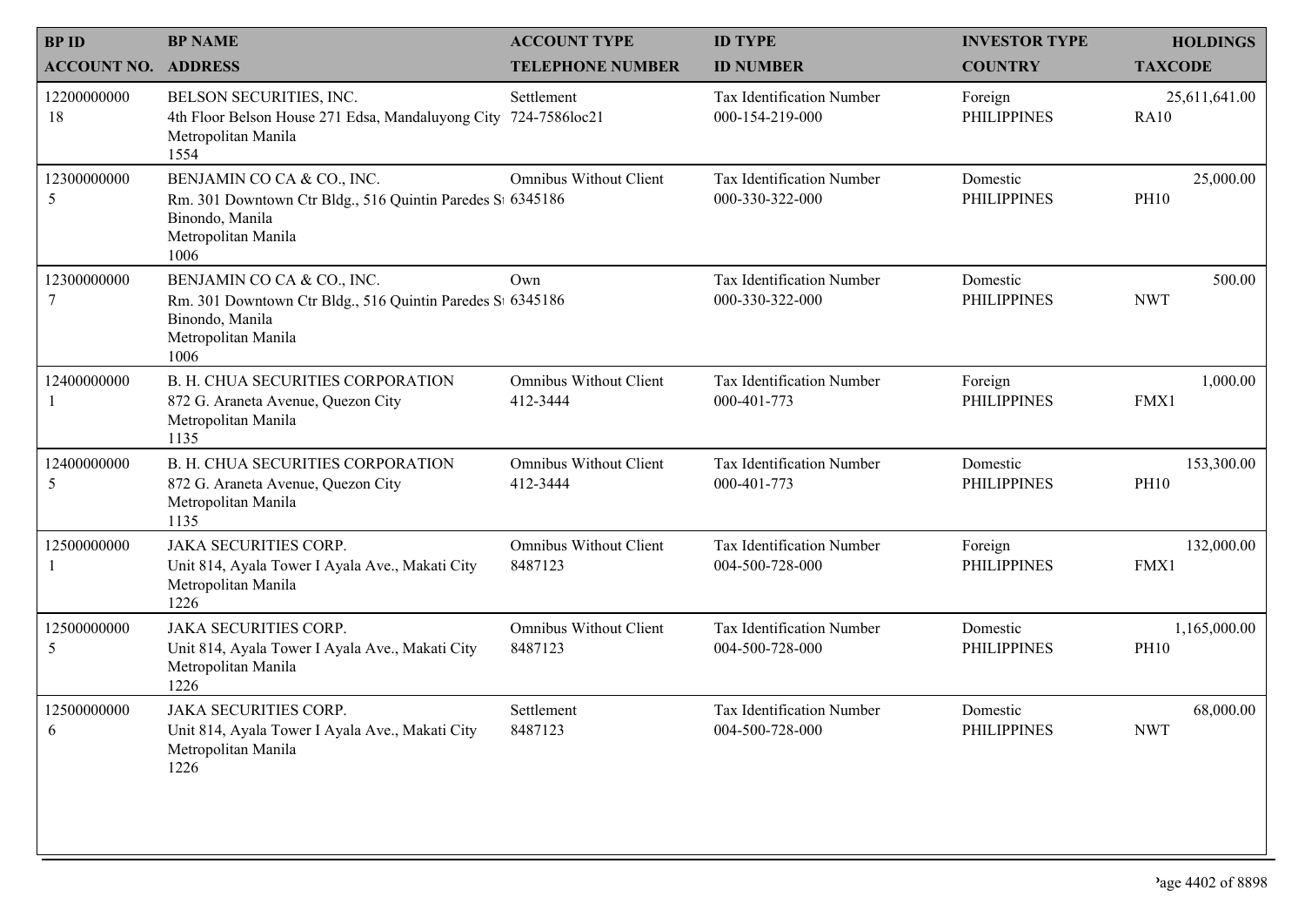| <b>BPID</b>                | <b>BP NAME</b>                                                                                                                             | <b>ACCOUNT TYPE</b>                       | <b>ID TYPE</b>                                      | <b>INVESTOR TYPE</b>           | <b>HOLDINGS</b>              |
|----------------------------|--------------------------------------------------------------------------------------------------------------------------------------------|-------------------------------------------|-----------------------------------------------------|--------------------------------|------------------------------|
| <b>ACCOUNT NO. ADDRESS</b> |                                                                                                                                            | <b>TELEPHONE NUMBER</b>                   | <b>ID NUMBER</b>                                    | <b>COUNTRY</b>                 | <b>TAXCODE</b>               |
| 12200000000<br>18          | BELSON SECURITIES, INC.<br>4th Floor Belson House 271 Edsa, Mandaluyong City<br>Metropolitan Manila<br>1554                                | Settlement<br>724-7586loc21               | Tax Identification Number<br>000-154-219-000        | Foreign<br><b>PHILIPPINES</b>  | 25,611,641.00<br><b>RA10</b> |
| 12300000000<br>5           | BENJAMIN CO CA & CO., INC.<br>Rm. 301 Downtown Ctr Bldg., 516 Quintin Paredes St 6345186<br>Binondo, Manila<br>Metropolitan Manila<br>1006 | <b>Omnibus Without Client</b>             | <b>Tax Identification Number</b><br>000-330-322-000 | Domestic<br><b>PHILIPPINES</b> | 25,000.00<br><b>PH10</b>     |
| 12300000000<br>7           | BENJAMIN CO CA & CO., INC.<br>Rm. 301 Downtown Ctr Bldg., 516 Quintin Paredes St 6345186<br>Binondo, Manila<br>Metropolitan Manila<br>1006 | Own                                       | Tax Identification Number<br>000-330-322-000        | Domestic<br><b>PHILIPPINES</b> | 500.00<br><b>NWT</b>         |
| 12400000000<br>1           | <b>B. H. CHUA SECURITIES CORPORATION</b><br>872 G. Araneta Avenue, Quezon City<br>Metropolitan Manila<br>1135                              | <b>Omnibus Without Client</b><br>412-3444 | Tax Identification Number<br>000-401-773            | Foreign<br><b>PHILIPPINES</b>  | 1,000.00<br>FMX1             |
| 12400000000<br>5           | <b>B. H. CHUA SECURITIES CORPORATION</b><br>872 G. Araneta Avenue, Quezon City<br>Metropolitan Manila<br>1135                              | <b>Omnibus Without Client</b><br>412-3444 | Tax Identification Number<br>000-401-773            | Domestic<br><b>PHILIPPINES</b> | 153,300.00<br><b>PH10</b>    |
| 12500000000<br>$\perp$     | <b>JAKA SECURITIES CORP.</b><br>Unit 814, Ayala Tower I Ayala Ave., Makati City<br>Metropolitan Manila<br>1226                             | <b>Omnibus Without Client</b><br>8487123  | Tax Identification Number<br>004-500-728-000        | Foreign<br><b>PHILIPPINES</b>  | 132,000.00<br>FMX1           |
| 12500000000<br>5           | <b>JAKA SECURITIES CORP.</b><br>Unit 814, Ayala Tower I Ayala Ave., Makati City<br>Metropolitan Manila<br>1226                             | <b>Omnibus Without Client</b><br>8487123  | Tax Identification Number<br>004-500-728-000        | Domestic<br><b>PHILIPPINES</b> | 1,165,000.00<br><b>PH10</b>  |
| 12500000000<br>6           | <b>JAKA SECURITIES CORP.</b><br>Unit 814, Ayala Tower I Ayala Ave., Makati City<br>Metropolitan Manila<br>1226                             | Settlement<br>8487123                     | Tax Identification Number<br>004-500-728-000        | Domestic<br><b>PHILIPPINES</b> | 68,000.00<br><b>NWT</b>      |
|                            |                                                                                                                                            |                                           |                                                     |                                |                              |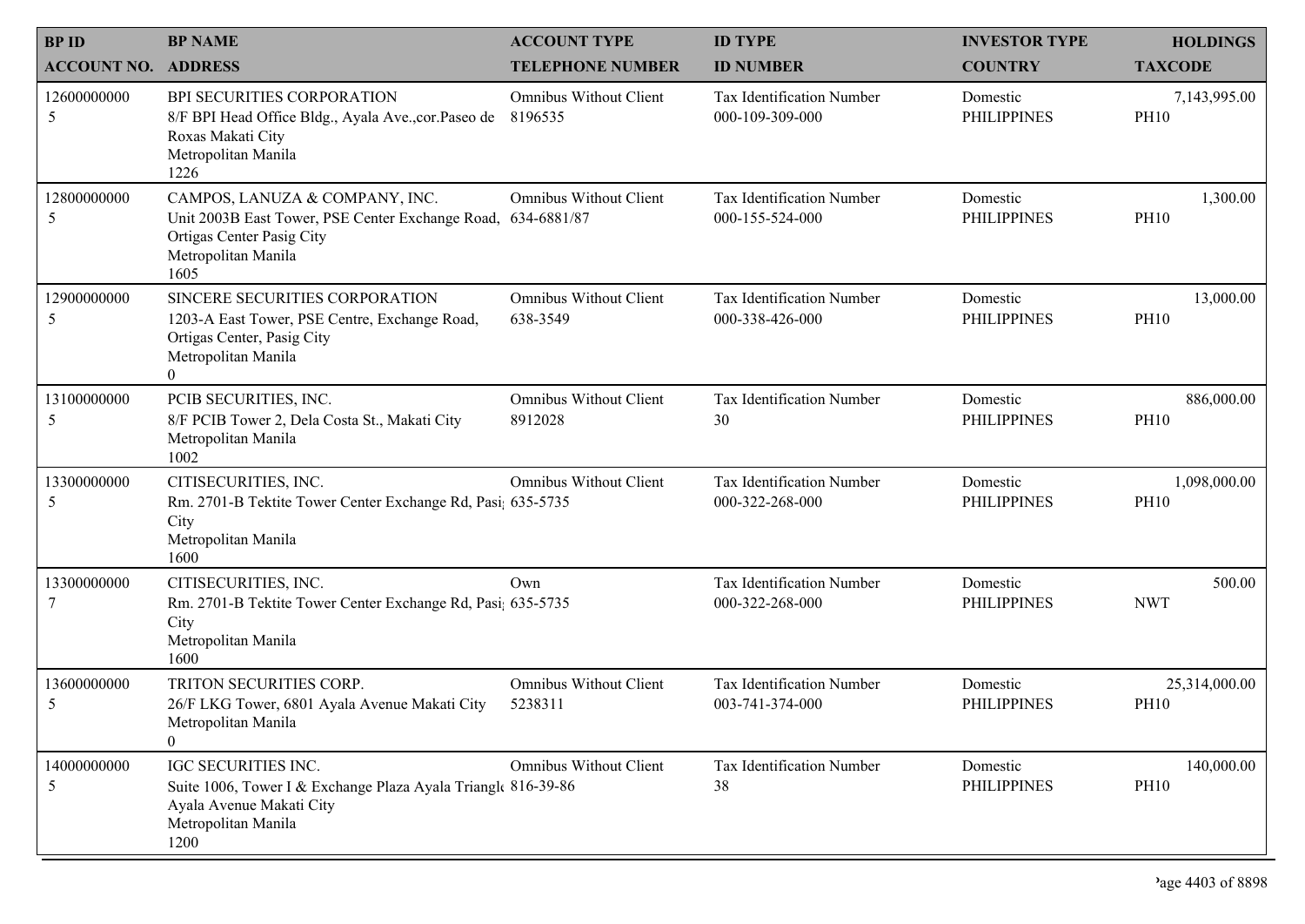| <b>BPID</b>        | <b>BP NAME</b>                                                                                                                                   | <b>ACCOUNT TYPE</b>                          | <b>ID TYPE</b>                               | <b>INVESTOR TYPE</b>           | <b>HOLDINGS</b>              |
|--------------------|--------------------------------------------------------------------------------------------------------------------------------------------------|----------------------------------------------|----------------------------------------------|--------------------------------|------------------------------|
| <b>ACCOUNT NO.</b> | <b>ADDRESS</b>                                                                                                                                   | <b>TELEPHONE NUMBER</b>                      | <b>ID NUMBER</b>                             | <b>COUNTRY</b>                 | <b>TAXCODE</b>               |
| 12600000000<br>5   | <b>BPI SECURITIES CORPORATION</b><br>8/F BPI Head Office Bldg., Ayala Ave., cor. Paseo de<br>Roxas Makati City<br>Metropolitan Manila<br>1226    | <b>Omnibus Without Client</b><br>8196535     | Tax Identification Number<br>000-109-309-000 | Domestic<br><b>PHILIPPINES</b> | 7,143,995.00<br><b>PH10</b>  |
| 12800000000<br>5   | CAMPOS, LANUZA & COMPANY, INC.<br>Unit 2003B East Tower, PSE Center Exchange Road,<br>Ortigas Center Pasig City<br>Metropolitan Manila<br>1605   | <b>Omnibus Without Client</b><br>634-6881/87 | Tax Identification Number<br>000-155-524-000 | Domestic<br><b>PHILIPPINES</b> | 1,300.00<br><b>PH10</b>      |
| 12900000000<br>5   | SINCERE SECURITIES CORPORATION<br>1203-A East Tower, PSE Centre, Exchange Road,<br>Ortigas Center, Pasig City<br>Metropolitan Manila<br>$\theta$ | <b>Omnibus Without Client</b><br>638-3549    | Tax Identification Number<br>000-338-426-000 | Domestic<br><b>PHILIPPINES</b> | 13,000.00<br><b>PH10</b>     |
| 13100000000<br>5   | PCIB SECURITIES, INC.<br>8/F PCIB Tower 2, Dela Costa St., Makati City<br>Metropolitan Manila<br>1002                                            | <b>Omnibus Without Client</b><br>8912028     | Tax Identification Number<br>30              | Domestic<br><b>PHILIPPINES</b> | 886,000.00<br><b>PH10</b>    |
| 13300000000<br>5   | CITISECURITIES, INC.<br>Rm. 2701-B Tektite Tower Center Exchange Rd, Pasi; 635-5735<br>City<br>Metropolitan Manila<br>1600                       | <b>Omnibus Without Client</b>                | Tax Identification Number<br>000-322-268-000 | Domestic<br><b>PHILIPPINES</b> | 1,098,000.00<br><b>PH10</b>  |
| 13300000000        | CITISECURITIES, INC.<br>Rm. 2701-B Tektite Tower Center Exchange Rd, Pasi; 635-5735<br>City<br>Metropolitan Manila<br>1600                       | Own                                          | Tax Identification Number<br>000-322-268-000 | Domestic<br><b>PHILIPPINES</b> | 500.00<br><b>NWT</b>         |
| 13600000000<br>5   | TRITON SECURITIES CORP.<br>26/F LKG Tower, 6801 Ayala Avenue Makati City<br>Metropolitan Manila<br>$\theta$                                      | <b>Omnibus Without Client</b><br>5238311     | Tax Identification Number<br>003-741-374-000 | Domestic<br><b>PHILIPPINES</b> | 25,314,000.00<br><b>PH10</b> |
| 14000000000<br>5   | IGC SECURITIES INC.<br>Suite 1006, Tower I & Exchange Plaza Ayala Triangle 816-39-86<br>Ayala Avenue Makati City<br>Metropolitan Manila<br>1200  | <b>Omnibus Without Client</b>                | Tax Identification Number<br>38              | Domestic<br><b>PHILIPPINES</b> | 140,000.00<br><b>PH10</b>    |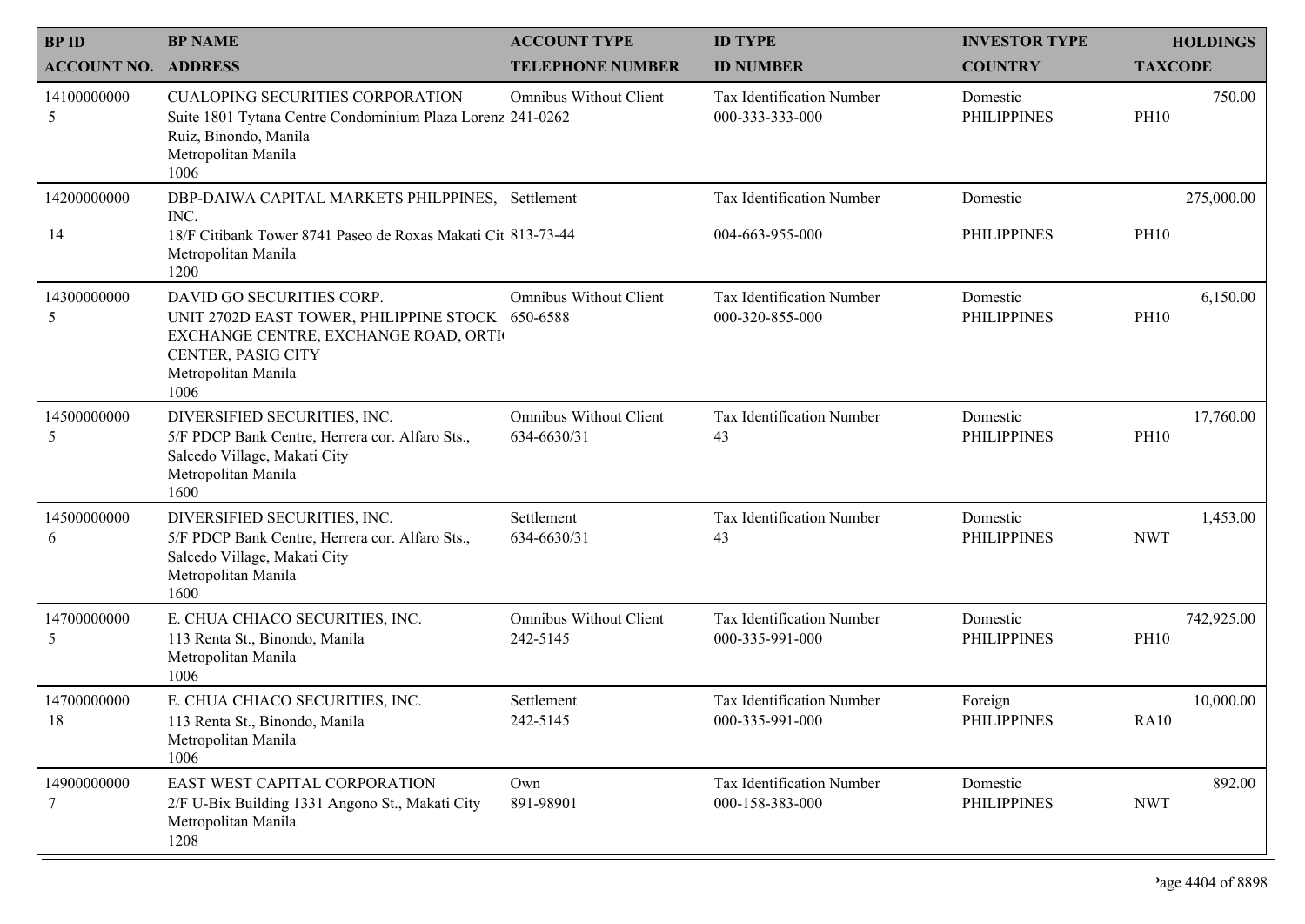| <b>BPID</b>        | <b>BP NAME</b>                                                                                                                                                             | <b>ACCOUNT TYPE</b>                          | <b>ID TYPE</b>                                      | <b>INVESTOR TYPE</b>           | <b>HOLDINGS</b>           |
|--------------------|----------------------------------------------------------------------------------------------------------------------------------------------------------------------------|----------------------------------------------|-----------------------------------------------------|--------------------------------|---------------------------|
| <b>ACCOUNT NO.</b> | <b>ADDRESS</b>                                                                                                                                                             | <b>TELEPHONE NUMBER</b>                      | <b>ID NUMBER</b>                                    | <b>COUNTRY</b>                 | <b>TAXCODE</b>            |
| 14100000000<br>5   | <b>CUALOPING SECURITIES CORPORATION</b><br>Suite 1801 Tytana Centre Condominium Plaza Lorenz 241-0262<br>Ruiz, Binondo, Manila<br>Metropolitan Manila<br>1006              | <b>Omnibus Without Client</b>                | Tax Identification Number<br>000-333-333-000        | Domestic<br><b>PHILIPPINES</b> | 750.00<br><b>PH10</b>     |
| 14200000000<br>14  | DBP-DAIWA CAPITAL MARKETS PHILPPINES, Settlement<br>INC.<br>18/F Citibank Tower 8741 Paseo de Roxas Makati Cit 813-73-44<br>Metropolitan Manila<br>1200                    |                                              | <b>Tax Identification Number</b><br>004-663-955-000 | Domestic<br><b>PHILIPPINES</b> | 275,000.00<br><b>PH10</b> |
| 14300000000<br>5   | DAVID GO SECURITIES CORP.<br>UNIT 2702D EAST TOWER, PHILIPPINE STOCK 650-6588<br>EXCHANGE CENTRE, EXCHANGE ROAD, ORTI<br>CENTER, PASIG CITY<br>Metropolitan Manila<br>1006 | <b>Omnibus Without Client</b>                | Tax Identification Number<br>000-320-855-000        | Domestic<br><b>PHILIPPINES</b> | 6,150.00<br><b>PH10</b>   |
| 14500000000<br>5   | DIVERSIFIED SECURITIES, INC.<br>5/F PDCP Bank Centre, Herrera cor. Alfaro Sts.,<br>Salcedo Village, Makati City<br>Metropolitan Manila<br>1600                             | <b>Omnibus Without Client</b><br>634-6630/31 | Tax Identification Number<br>43                     | Domestic<br><b>PHILIPPINES</b> | 17,760.00<br><b>PH10</b>  |
| 14500000000<br>6   | DIVERSIFIED SECURITIES, INC.<br>5/F PDCP Bank Centre, Herrera cor. Alfaro Sts.,<br>Salcedo Village, Makati City<br>Metropolitan Manila<br>1600                             | Settlement<br>634-6630/31                    | Tax Identification Number<br>43                     | Domestic<br><b>PHILIPPINES</b> | 1,453.00<br><b>NWT</b>    |
| 14700000000<br>5   | E. CHUA CHIACO SECURITIES, INC.<br>113 Renta St., Binondo, Manila<br>Metropolitan Manila<br>1006                                                                           | <b>Omnibus Without Client</b><br>242-5145    | Tax Identification Number<br>000-335-991-000        | Domestic<br><b>PHILIPPINES</b> | 742,925.00<br><b>PH10</b> |
| 14700000000<br>18  | E. CHUA CHIACO SECURITIES, INC.<br>113 Renta St., Binondo, Manila<br>Metropolitan Manila<br>1006                                                                           | Settlement<br>242-5145                       | Tax Identification Number<br>000-335-991-000        | Foreign<br>PHILIPPINES         | 10,000.00<br><b>RA10</b>  |
| 14900000000<br>7   | EAST WEST CAPITAL CORPORATION<br>2/F U-Bix Building 1331 Angono St., Makati City<br>Metropolitan Manila<br>1208                                                            | Own<br>891-98901                             | Tax Identification Number<br>000-158-383-000        | Domestic<br><b>PHILIPPINES</b> | 892.00<br><b>NWT</b>      |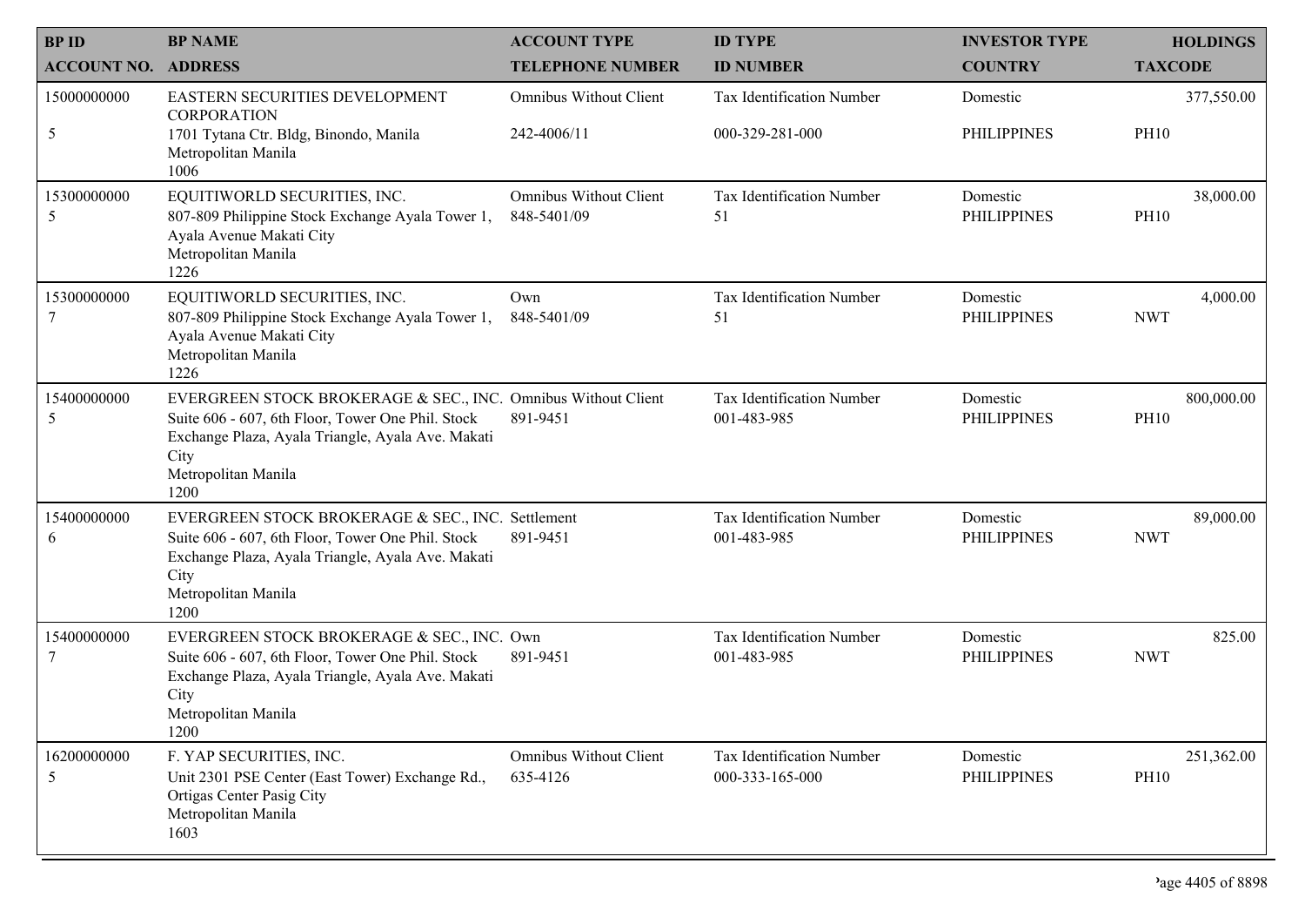| <b>BPID</b>        | <b>BP NAME</b>                                                                                                                                                                                                 | <b>ACCOUNT TYPE</b>                          | <b>ID TYPE</b>                               | <b>INVESTOR TYPE</b>           | <b>HOLDINGS</b>           |
|--------------------|----------------------------------------------------------------------------------------------------------------------------------------------------------------------------------------------------------------|----------------------------------------------|----------------------------------------------|--------------------------------|---------------------------|
| <b>ACCOUNT NO.</b> | <b>ADDRESS</b>                                                                                                                                                                                                 | <b>TELEPHONE NUMBER</b>                      | <b>ID NUMBER</b>                             | <b>COUNTRY</b>                 | <b>TAXCODE</b>            |
| 15000000000<br>5   | EASTERN SECURITIES DEVELOPMENT<br><b>CORPORATION</b><br>1701 Tytana Ctr. Bldg, Binondo, Manila<br>Metropolitan Manila                                                                                          | <b>Omnibus Without Client</b><br>242-4006/11 | Tax Identification Number<br>000-329-281-000 | Domestic<br><b>PHILIPPINES</b> | 377,550.00<br><b>PH10</b> |
|                    | 1006                                                                                                                                                                                                           |                                              |                                              |                                |                           |
| 15300000000<br>5   | EQUITIWORLD SECURITIES, INC.<br>807-809 Philippine Stock Exchange Ayala Tower 1,<br>Ayala Avenue Makati City<br>Metropolitan Manila<br>1226                                                                    | <b>Omnibus Without Client</b><br>848-5401/09 | Tax Identification Number<br>51              | Domestic<br><b>PHILIPPINES</b> | 38,000.00<br><b>PH10</b>  |
| 15300000000<br>7   | EQUITIWORLD SECURITIES, INC.<br>807-809 Philippine Stock Exchange Ayala Tower 1,<br>Ayala Avenue Makati City<br>Metropolitan Manila<br>1226                                                                    | Own<br>848-5401/09                           | Tax Identification Number<br>51              | Domestic<br><b>PHILIPPINES</b> | 4,000.00<br><b>NWT</b>    |
| 15400000000<br>5   | EVERGREEN STOCK BROKERAGE & SEC., INC. Omnibus Without Client<br>Suite 606 - 607, 6th Floor, Tower One Phil. Stock<br>Exchange Plaza, Ayala Triangle, Ayala Ave. Makati<br>City<br>Metropolitan Manila<br>1200 | 891-9451                                     | Tax Identification Number<br>001-483-985     | Domestic<br><b>PHILIPPINES</b> | 800,000.00<br><b>PH10</b> |
| 15400000000<br>6   | EVERGREEN STOCK BROKERAGE & SEC., INC. Settlement<br>Suite 606 - 607, 6th Floor, Tower One Phil. Stock<br>Exchange Plaza, Ayala Triangle, Ayala Ave. Makati<br>City<br>Metropolitan Manila<br>1200             | 891-9451                                     | Tax Identification Number<br>001-483-985     | Domestic<br><b>PHILIPPINES</b> | 89,000.00<br><b>NWT</b>   |
| 15400000000<br>7   | EVERGREEN STOCK BROKERAGE & SEC., INC. Own<br>Suite 606 - 607, 6th Floor, Tower One Phil. Stock<br>Exchange Plaza, Ayala Triangle, Ayala Ave. Makati<br>City<br>Metropolitan Manila<br>1200                    | 891-9451                                     | Tax Identification Number<br>001-483-985     | Domestic<br><b>PHILIPPINES</b> | 825.00<br><b>NWT</b>      |
| 16200000000<br>5   | F. YAP SECURITIES, INC.<br>Unit 2301 PSE Center (East Tower) Exchange Rd.,<br>Ortigas Center Pasig City<br>Metropolitan Manila<br>1603                                                                         | <b>Omnibus Without Client</b><br>635-4126    | Tax Identification Number<br>000-333-165-000 | Domestic<br><b>PHILIPPINES</b> | 251,362.00<br><b>PH10</b> |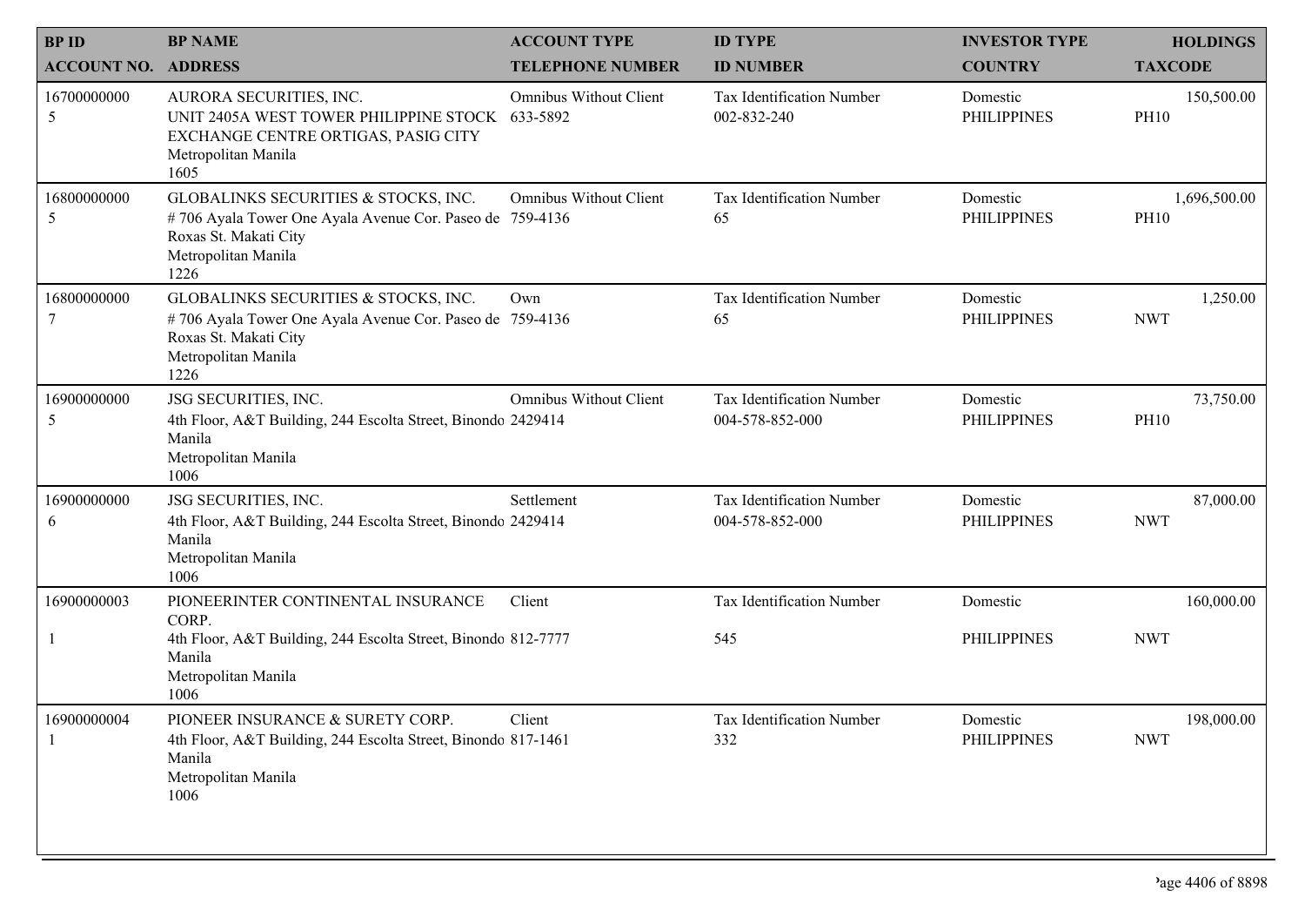| <b>BPID</b>                | <b>BP NAME</b>                                                                                                                                           | <b>ACCOUNT TYPE</b>                       | <b>ID TYPE</b>                               | <b>INVESTOR TYPE</b>           | <b>HOLDINGS</b>             |
|----------------------------|----------------------------------------------------------------------------------------------------------------------------------------------------------|-------------------------------------------|----------------------------------------------|--------------------------------|-----------------------------|
| <b>ACCOUNT NO. ADDRESS</b> |                                                                                                                                                          | <b>TELEPHONE NUMBER</b>                   | <b>ID NUMBER</b>                             | <b>COUNTRY</b>                 | <b>TAXCODE</b>              |
| 16700000000<br>5           | AURORA SECURITIES, INC.<br>UNIT 2405A WEST TOWER PHILIPPINE STOCK<br>EXCHANGE CENTRE ORTIGAS, PASIG CITY<br>Metropolitan Manila<br>1605                  | <b>Omnibus Without Client</b><br>633-5892 | Tax Identification Number<br>002-832-240     | Domestic<br><b>PHILIPPINES</b> | 150,500.00<br><b>PH10</b>   |
| 16800000000<br>5           | GLOBALINKS SECURITIES & STOCKS, INC.<br>#706 Ayala Tower One Ayala Avenue Cor. Paseo de 759-4136<br>Roxas St. Makati City<br>Metropolitan Manila<br>1226 | Omnibus Without Client                    | Tax Identification Number<br>65              | Domestic<br><b>PHILIPPINES</b> | 1,696,500.00<br><b>PH10</b> |
| 16800000000<br>7           | GLOBALINKS SECURITIES & STOCKS, INC.<br>#706 Ayala Tower One Ayala Avenue Cor. Paseo de 759-4136<br>Roxas St. Makati City<br>Metropolitan Manila<br>1226 | Own                                       | Tax Identification Number<br>65              | Domestic<br><b>PHILIPPINES</b> | 1,250.00<br><b>NWT</b>      |
| 16900000000<br>5           | JSG SECURITIES, INC.<br>4th Floor, A&T Building, 244 Escolta Street, Binondo 2429414<br>Manila<br>Metropolitan Manila<br>1006                            | Omnibus Without Client                    | Tax Identification Number<br>004-578-852-000 | Domestic<br><b>PHILIPPINES</b> | 73,750.00<br><b>PH10</b>    |
| 16900000000<br>6           | JSG SECURITIES, INC.<br>4th Floor, A&T Building, 244 Escolta Street, Binondo 2429414<br>Manila<br>Metropolitan Manila<br>1006                            | Settlement                                | Tax Identification Number<br>004-578-852-000 | Domestic<br><b>PHILIPPINES</b> | 87,000.00<br><b>NWT</b>     |
| 16900000003                | PIONEERINTER CONTINENTAL INSURANCE<br>CORP.                                                                                                              | Client                                    | Tax Identification Number                    | Domestic                       | 160,000.00                  |
|                            | 4th Floor, A&T Building, 244 Escolta Street, Binondo 812-7777<br>Manila<br>Metropolitan Manila<br>1006                                                   |                                           | 545                                          | <b>PHILIPPINES</b>             | <b>NWT</b>                  |
| 16900000004                | PIONEER INSURANCE & SURETY CORP<br>4th Floor, A&T Building, 244 Escolta Street, Binondo 817-1461<br>Manila<br>Metropolitan Manila<br>1006                | Client                                    | Tax Identification Number<br>332             | Domestic<br><b>PHILIPPINES</b> | 198,000.00<br><b>NWT</b>    |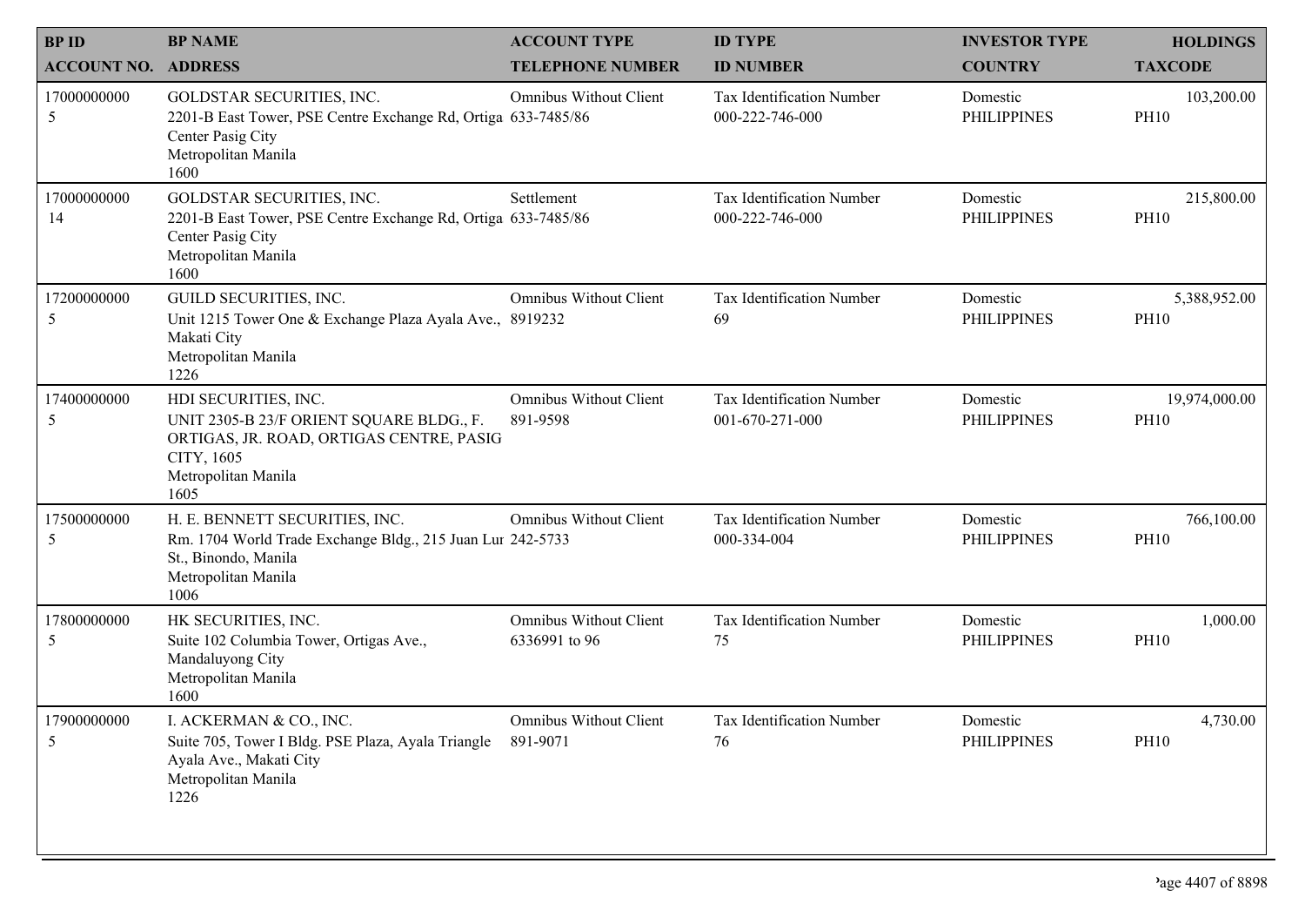| <b>BPID</b>                | <b>BP NAME</b>                                                                                                                                            | <b>ACCOUNT TYPE</b>                            | <b>ID TYPE</b>                               | <b>INVESTOR TYPE</b>           | <b>HOLDINGS</b>              |
|----------------------------|-----------------------------------------------------------------------------------------------------------------------------------------------------------|------------------------------------------------|----------------------------------------------|--------------------------------|------------------------------|
| <b>ACCOUNT NO. ADDRESS</b> |                                                                                                                                                           | <b>TELEPHONE NUMBER</b>                        | <b>ID NUMBER</b>                             | <b>COUNTRY</b>                 | <b>TAXCODE</b>               |
| 17000000000<br>5           | GOLDSTAR SECURITIES, INC.<br>2201-B East Tower, PSE Centre Exchange Rd, Ortiga 633-7485/86<br>Center Pasig City<br>Metropolitan Manila<br>1600            | <b>Omnibus Without Client</b>                  | Tax Identification Number<br>000-222-746-000 | Domestic<br><b>PHILIPPINES</b> | 103,200.00<br><b>PH10</b>    |
| 17000000000<br>14          | <b>GOLDSTAR SECURITIES, INC.</b><br>2201-B East Tower, PSE Centre Exchange Rd, Ortiga 633-7485/86<br>Center Pasig City<br>Metropolitan Manila<br>1600     | Settlement                                     | Tax Identification Number<br>000-222-746-000 | Domestic<br><b>PHILIPPINES</b> | 215,800.00<br><b>PH10</b>    |
| 17200000000<br>5           | GUILD SECURITIES, INC.<br>Unit 1215 Tower One & Exchange Plaza Ayala Ave., 8919232<br>Makati City<br>Metropolitan Manila<br>1226                          | Omnibus Without Client                         | Tax Identification Number<br>69              | Domestic<br><b>PHILIPPINES</b> | 5,388,952.00<br><b>PH10</b>  |
| 17400000000<br>5           | HDI SECURITIES, INC.<br>UNIT 2305-B 23/F ORIENT SQUARE BLDG., F.<br>ORTIGAS, JR. ROAD, ORTIGAS CENTRE, PASIG<br>CITY, 1605<br>Metropolitan Manila<br>1605 | <b>Omnibus Without Client</b><br>891-9598      | Tax Identification Number<br>001-670-271-000 | Domestic<br><b>PHILIPPINES</b> | 19,974,000.00<br><b>PH10</b> |
| 17500000000<br>5           | H. E. BENNETT SECURITIES, INC.<br>Rm. 1704 World Trade Exchange Bldg., 215 Juan Lur 242-5733<br>St., Binondo, Manila<br>Metropolitan Manila<br>1006       | <b>Omnibus Without Client</b>                  | Tax Identification Number<br>000-334-004     | Domestic<br><b>PHILIPPINES</b> | 766,100.00<br><b>PH10</b>    |
| 17800000000<br>5           | HK SECURITIES, INC.<br>Suite 102 Columbia Tower, Ortigas Ave.,<br>Mandaluyong City<br>Metropolitan Manila<br>1600                                         | <b>Omnibus Without Client</b><br>6336991 to 96 | Tax Identification Number<br>75              | Domestic<br><b>PHILIPPINES</b> | 1,000.00<br><b>PH10</b>      |
| 17900000000<br>5           | I. ACKERMAN & CO., INC.<br>Suite 705, Tower I Bldg. PSE Plaza, Ayala Triangle 891-9071<br>Ayala Ave., Makati City<br>Metropolitan Manila<br>1226          | Omnibus Without Client                         | Tax Identification Number<br>76              | Domestic<br><b>PHILIPPINES</b> | 4,730.00<br><b>PH10</b>      |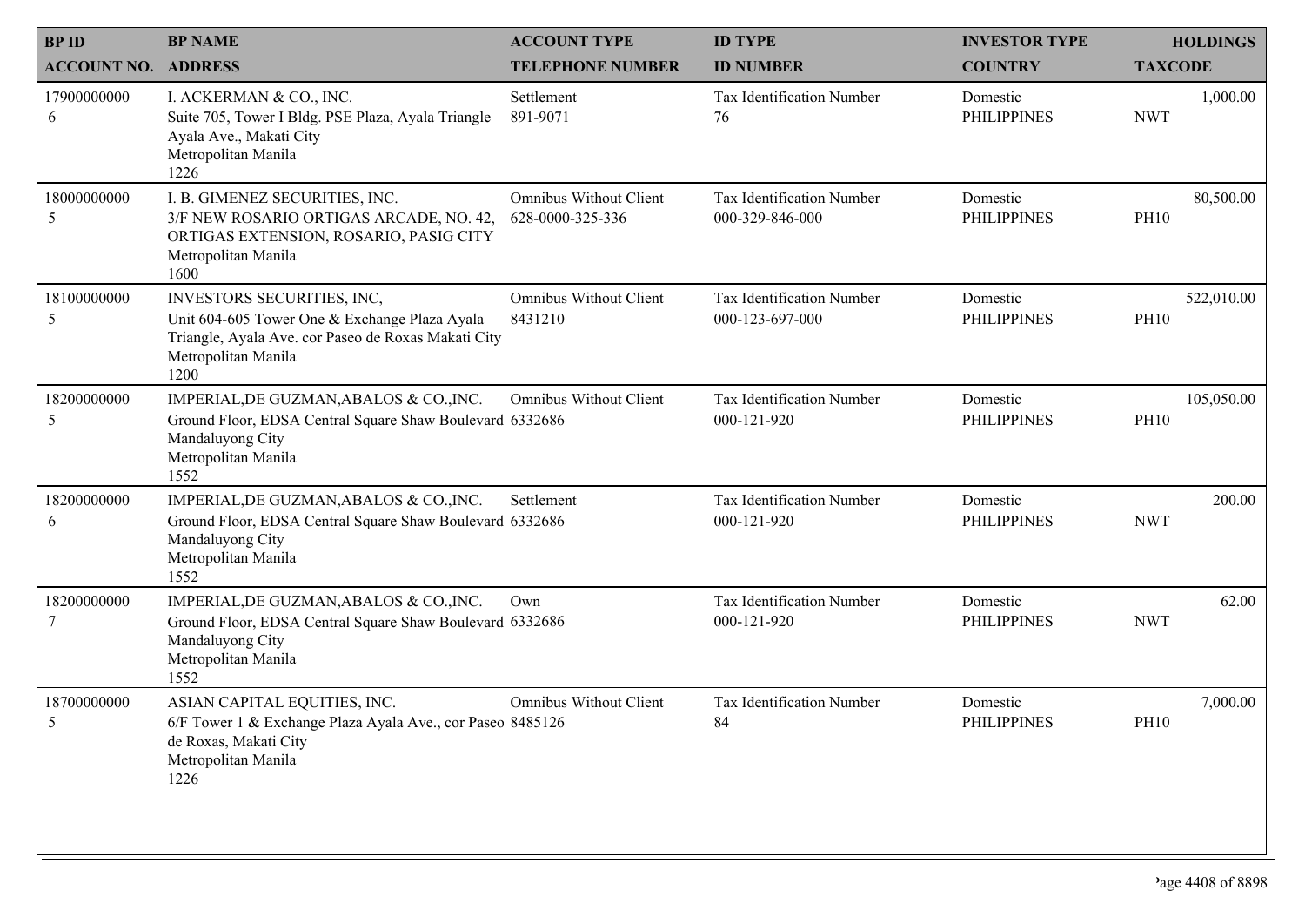| <b>BPID</b>                | <b>BP NAME</b>                                                                                                                                                    | <b>ACCOUNT TYPE</b>                               | <b>ID TYPE</b>                               | <b>INVESTOR TYPE</b>           | <b>HOLDINGS</b>           |
|----------------------------|-------------------------------------------------------------------------------------------------------------------------------------------------------------------|---------------------------------------------------|----------------------------------------------|--------------------------------|---------------------------|
| <b>ACCOUNT NO. ADDRESS</b> |                                                                                                                                                                   | <b>TELEPHONE NUMBER</b>                           | <b>ID NUMBER</b>                             | <b>COUNTRY</b>                 | <b>TAXCODE</b>            |
| 17900000000<br>6           | I. ACKERMAN & CO., INC.<br>Suite 705, Tower I Bldg. PSE Plaza, Ayala Triangle<br>Ayala Ave., Makati City<br>Metropolitan Manila<br>1226                           | Settlement<br>891-9071                            | Tax Identification Number<br>76              | Domestic<br><b>PHILIPPINES</b> | 1,000.00<br><b>NWT</b>    |
| 18000000000<br>5           | I. B. GIMENEZ SECURITIES, INC.<br>3/F NEW ROSARIO ORTIGAS ARCADE, NO. 42,<br>ORTIGAS EXTENSION, ROSARIO, PASIG CITY<br>Metropolitan Manila<br>1600                | <b>Omnibus Without Client</b><br>628-0000-325-336 | Tax Identification Number<br>000-329-846-000 | Domestic<br><b>PHILIPPINES</b> | 80,500.00<br><b>PH10</b>  |
| 18100000000<br>5           | INVESTORS SECURITIES, INC,<br>Unit 604-605 Tower One & Exchange Plaza Ayala<br>Triangle, Ayala Ave. cor Paseo de Roxas Makati City<br>Metropolitan Manila<br>1200 | <b>Omnibus Without Client</b><br>8431210          | Tax Identification Number<br>000-123-697-000 | Domestic<br><b>PHILIPPINES</b> | 522,010.00<br><b>PH10</b> |
| 18200000000<br>5           | IMPERIAL, DE GUZMAN, ABALOS & CO., INC.<br>Ground Floor, EDSA Central Square Shaw Boulevard 6332686<br>Mandaluyong City<br>Metropolitan Manila<br>1552            | <b>Omnibus Without Client</b>                     | Tax Identification Number<br>000-121-920     | Domestic<br><b>PHILIPPINES</b> | 105,050.00<br><b>PH10</b> |
| 18200000000<br>6           | IMPERIAL, DE GUZMAN, ABALOS & CO., INC.<br>Ground Floor, EDSA Central Square Shaw Boulevard 6332686<br>Mandaluyong City<br>Metropolitan Manila<br>1552            | Settlement                                        | Tax Identification Number<br>000-121-920     | Domestic<br><b>PHILIPPINES</b> | 200.00<br><b>NWT</b>      |
| 18200000000<br>7           | IMPERIAL, DE GUZMAN, ABALOS & CO., INC.<br>Ground Floor, EDSA Central Square Shaw Boulevard 6332686<br>Mandaluyong City<br>Metropolitan Manila<br>1552            | Own                                               | Tax Identification Number<br>000-121-920     | Domestic<br><b>PHILIPPINES</b> | 62.00<br><b>NWT</b>       |
| 18700000000                | ASIAN CAPITAL EQUITIES, INC.<br>6/F Tower 1 & Exchange Plaza Ayala Ave., cor Paseo 8485126<br>de Roxas, Makati City<br>Metropolitan Manila<br>1226                | <b>Omnibus Without Client</b>                     | Tax Identification Number<br>84              | Domestic<br><b>PHILIPPINES</b> | 7,000.00<br><b>PH10</b>   |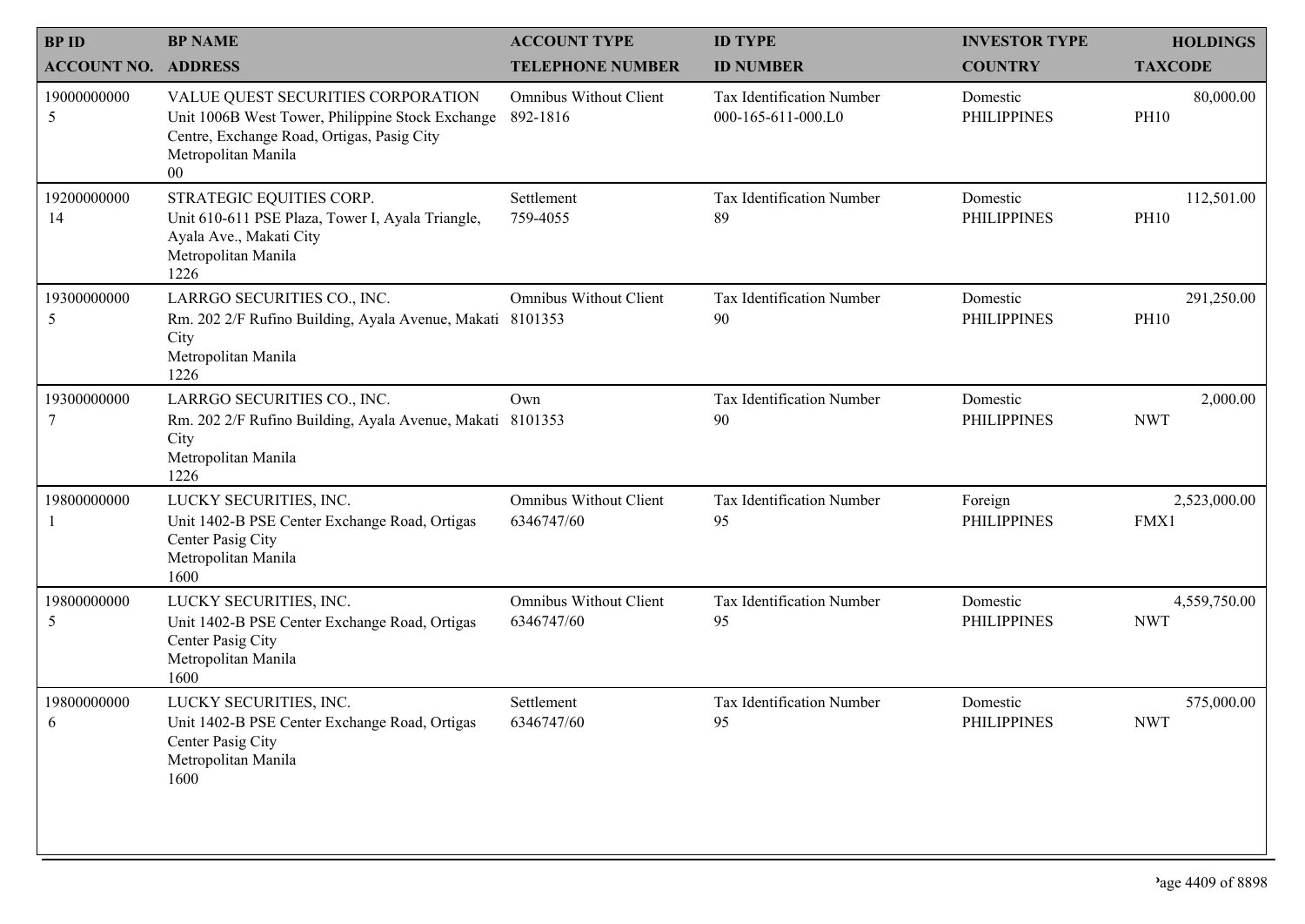| <b>BPID</b>                | <b>BP NAME</b>                                                                                                                                                        | <b>ACCOUNT TYPE</b>                         | <b>ID TYPE</b>                                  | <b>INVESTOR TYPE</b>           | <b>HOLDINGS</b>            |
|----------------------------|-----------------------------------------------------------------------------------------------------------------------------------------------------------------------|---------------------------------------------|-------------------------------------------------|--------------------------------|----------------------------|
| <b>ACCOUNT NO. ADDRESS</b> |                                                                                                                                                                       | <b>TELEPHONE NUMBER</b>                     | <b>ID NUMBER</b>                                | <b>COUNTRY</b>                 | <b>TAXCODE</b>             |
| 19000000000<br>5           | VALUE QUEST SECURITIES CORPORATION<br>Unit 1006B West Tower, Philippine Stock Exchange<br>Centre, Exchange Road, Ortigas, Pasig City<br>Metropolitan Manila<br>$00\,$ | <b>Omnibus Without Client</b><br>892-1816   | Tax Identification Number<br>000-165-611-000.L0 | Domestic<br><b>PHILIPPINES</b> | 80,000.00<br><b>PH10</b>   |
| 19200000000<br>14          | STRATEGIC EQUITIES CORP.<br>Unit 610-611 PSE Plaza, Tower I, Ayala Triangle,<br>Ayala Ave., Makati City<br>Metropolitan Manila<br>1226                                | Settlement<br>759-4055                      | Tax Identification Number<br>89                 | Domestic<br><b>PHILIPPINES</b> | 112,501.00<br><b>PH10</b>  |
| 19300000000<br>5           | LARRGO SECURITIES CO., INC.<br>Rm. 202 2/F Rufino Building, Ayala Avenue, Makati 8101353<br>City<br>Metropolitan Manila<br>1226                                       | <b>Omnibus Without Client</b>               | Tax Identification Number<br>90                 | Domestic<br><b>PHILIPPINES</b> | 291,250.00<br><b>PH10</b>  |
| 19300000000<br>7           | LARRGO SECURITIES CO., INC.<br>Rm. 202 2/F Rufino Building, Ayala Avenue, Makati 8101353<br>City<br>Metropolitan Manila<br>1226                                       | Own                                         | Tax Identification Number<br>90                 | Domestic<br><b>PHILIPPINES</b> | 2,000.00<br><b>NWT</b>     |
| 19800000000                | LUCKY SECURITIES, INC.<br>Unit 1402-B PSE Center Exchange Road, Ortigas<br>Center Pasig City<br>Metropolitan Manila<br>1600                                           | Omnibus Without Client<br>6346747/60        | Tax Identification Number<br>95                 | Foreign<br><b>PHILIPPINES</b>  | 2,523,000.00<br>FMX1       |
| 19800000000<br>5           | LUCKY SECURITIES, INC.<br>Unit 1402-B PSE Center Exchange Road, Ortigas<br>Center Pasig City<br>Metropolitan Manila<br>1600                                           | <b>Omnibus Without Client</b><br>6346747/60 | Tax Identification Number<br>95                 | Domestic<br><b>PHILIPPINES</b> | 4,559,750.00<br><b>NWT</b> |
| 19800000000<br>6.          | LUCKY SECURITIES, INC.<br>Unit 1402-B PSE Center Exchange Road, Ortigas<br>Center Pasig City<br>Metropolitan Manila<br>1600                                           | Settlement<br>6346747/60                    | Tax Identification Number<br>95                 | Domestic<br><b>PHILIPPINES</b> | 575,000.00<br><b>NWT</b>   |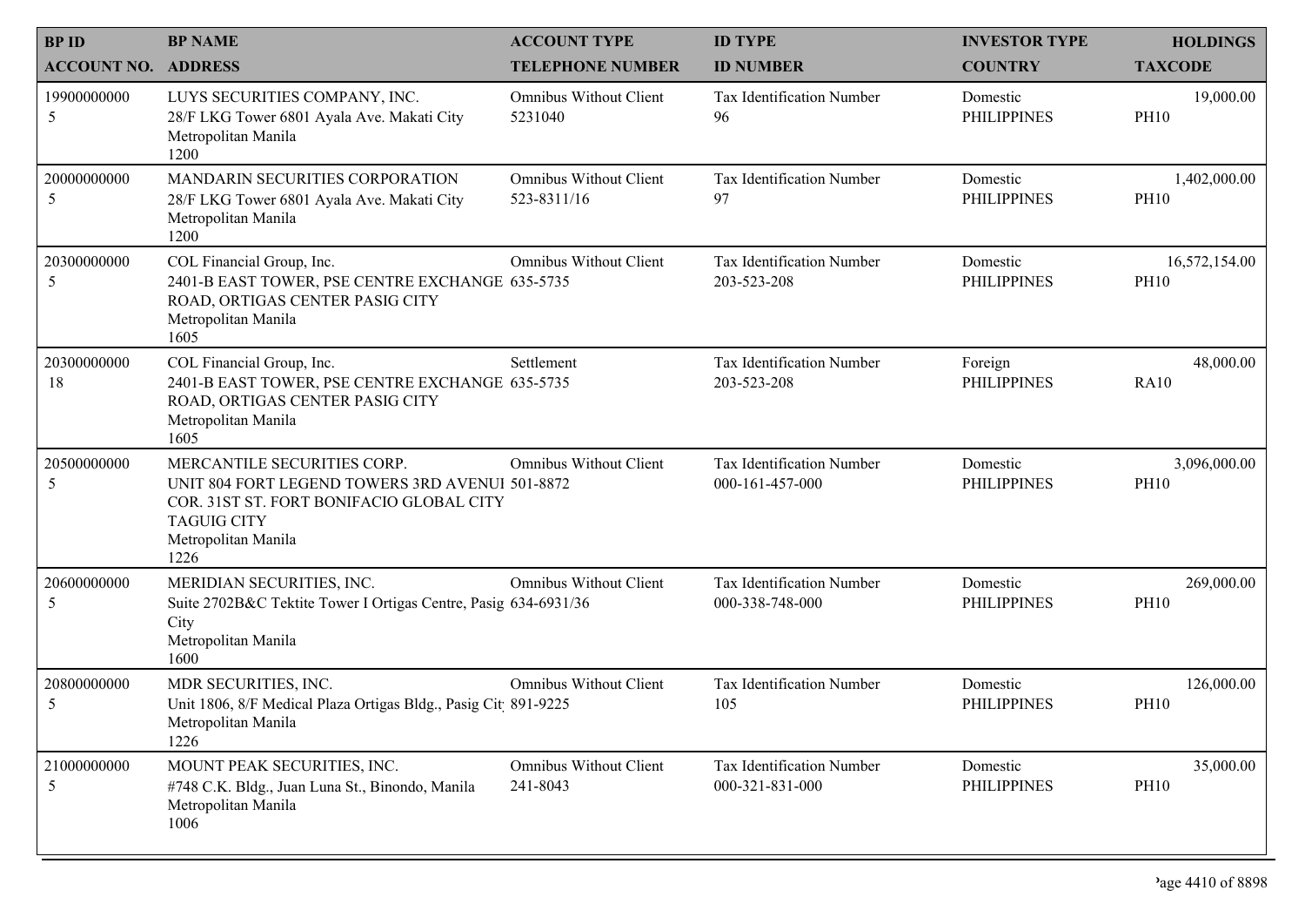| <b>BPID</b>        | <b>BP NAME</b>                                                                                                                                                                  | <b>ACCOUNT TYPE</b>                          | <b>ID TYPE</b>                               | <b>INVESTOR TYPE</b>           | <b>HOLDINGS</b>              |
|--------------------|---------------------------------------------------------------------------------------------------------------------------------------------------------------------------------|----------------------------------------------|----------------------------------------------|--------------------------------|------------------------------|
| <b>ACCOUNT NO.</b> | <b>ADDRESS</b>                                                                                                                                                                  | <b>TELEPHONE NUMBER</b>                      | <b>ID NUMBER</b>                             | <b>COUNTRY</b>                 | <b>TAXCODE</b>               |
| 19900000000<br>5   | LUYS SECURITIES COMPANY, INC.<br>28/F LKG Tower 6801 Ayala Ave. Makati City<br>Metropolitan Manila<br>1200                                                                      | <b>Omnibus Without Client</b><br>5231040     | Tax Identification Number<br>96              | Domestic<br><b>PHILIPPINES</b> | 19,000.00<br><b>PH10</b>     |
| 20000000000<br>5   | MANDARIN SECURITIES CORPORATION<br>28/F LKG Tower 6801 Ayala Ave. Makati City<br>Metropolitan Manila<br>1200                                                                    | <b>Omnibus Without Client</b><br>523-8311/16 | Tax Identification Number<br>97              | Domestic<br><b>PHILIPPINES</b> | 1,402,000.00<br><b>PH10</b>  |
| 20300000000<br>5   | COL Financial Group, Inc.<br>2401-B EAST TOWER, PSE CENTRE EXCHANGE 635-5735<br>ROAD, ORTIGAS CENTER PASIG CITY<br>Metropolitan Manila<br>1605                                  | <b>Omnibus Without Client</b>                | Tax Identification Number<br>203-523-208     | Domestic<br><b>PHILIPPINES</b> | 16,572,154.00<br><b>PH10</b> |
| 20300000000<br>18  | COL Financial Group, Inc.<br>2401-B EAST TOWER, PSE CENTRE EXCHANGE 635-5735<br>ROAD, ORTIGAS CENTER PASIG CITY<br>Metropolitan Manila<br>1605                                  | Settlement                                   | Tax Identification Number<br>203-523-208     | Foreign<br><b>PHILIPPINES</b>  | 48,000.00<br><b>RA10</b>     |
| 20500000000<br>5   | MERCANTILE SECURITIES CORP.<br>UNIT 804 FORT LEGEND TOWERS 3RD AVENUI 501-8872<br>COR. 31ST ST. FORT BONIFACIO GLOBAL CITY<br><b>TAGUIG CITY</b><br>Metropolitan Manila<br>1226 | <b>Omnibus Without Client</b>                | Tax Identification Number<br>000-161-457-000 | Domestic<br><b>PHILIPPINES</b> | 3,096,000.00<br><b>PH10</b>  |
| 20600000000<br>5   | MERIDIAN SECURITIES, INC.<br>Suite 2702B&C Tektite Tower I Ortigas Centre, Pasig 634-6931/36<br>City<br>Metropolitan Manila<br>1600                                             | <b>Omnibus Without Client</b>                | Tax Identification Number<br>000-338-748-000 | Domestic<br><b>PHILIPPINES</b> | 269,000.00<br><b>PH10</b>    |
| 20800000000<br>5   | MDR SECURITIES, INC.<br>Unit 1806, 8/F Medical Plaza Ortigas Bldg., Pasig Cit 891-9225<br>Metropolitan Manila<br>1226                                                           | <b>Omnibus Without Client</b>                | Tax Identification Number<br>105             | Domestic<br><b>PHILIPPINES</b> | 126,000.00<br><b>PH10</b>    |
| 21000000000<br>5   | MOUNT PEAK SECURITIES, INC.<br>#748 C.K. Bldg., Juan Luna St., Binondo, Manila<br>Metropolitan Manila<br>1006                                                                   | <b>Omnibus Without Client</b><br>241-8043    | Tax Identification Number<br>000-321-831-000 | Domestic<br><b>PHILIPPINES</b> | 35,000.00<br><b>PH10</b>     |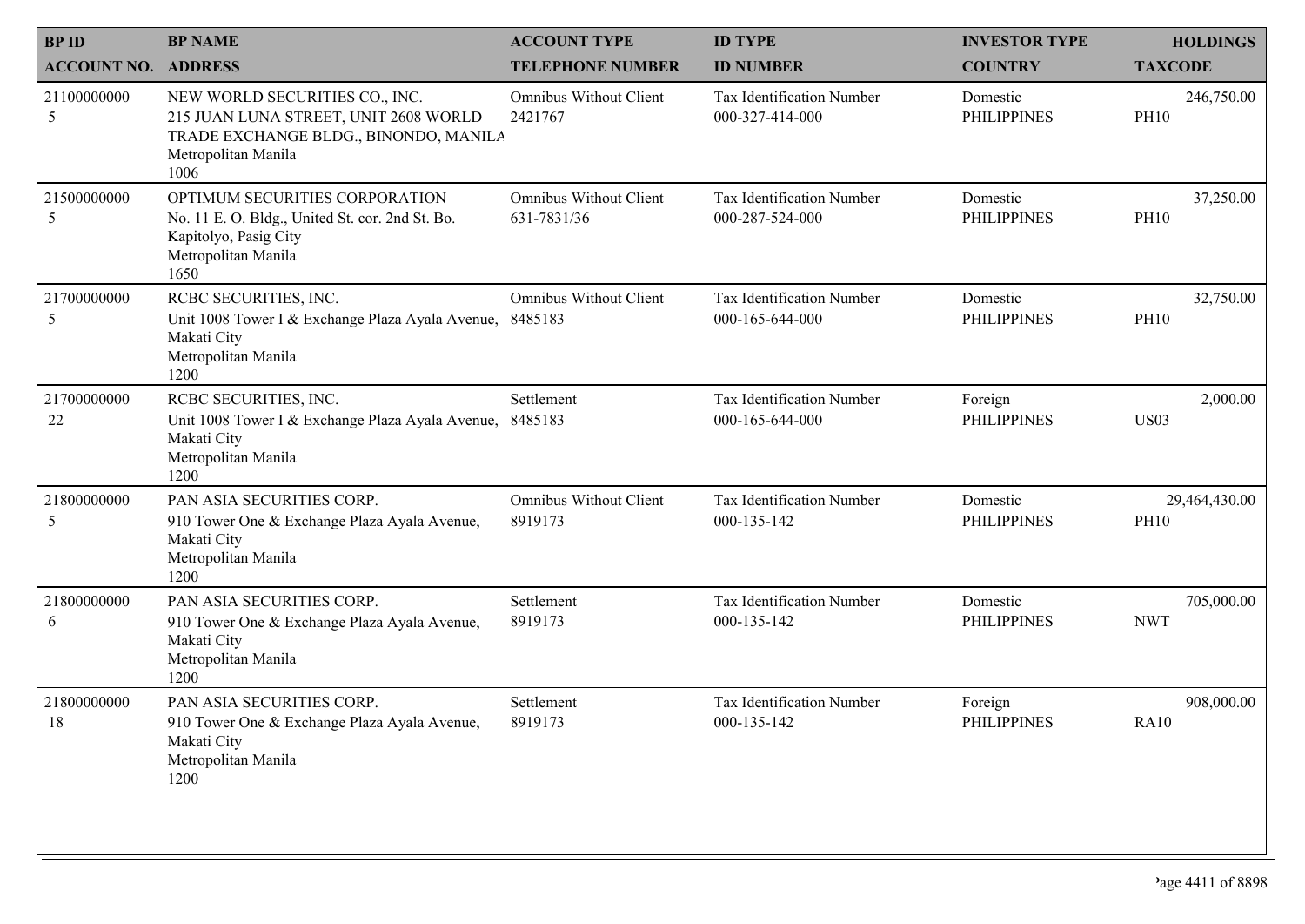| <b>BPID</b>                | <b>BP NAME</b>                                                                                                                                  | <b>ACCOUNT TYPE</b>                          | <b>ID TYPE</b>                               | <b>INVESTOR TYPE</b>           | <b>HOLDINGS</b>              |
|----------------------------|-------------------------------------------------------------------------------------------------------------------------------------------------|----------------------------------------------|----------------------------------------------|--------------------------------|------------------------------|
| <b>ACCOUNT NO. ADDRESS</b> |                                                                                                                                                 | <b>TELEPHONE NUMBER</b>                      | <b>ID NUMBER</b>                             | <b>COUNTRY</b>                 | <b>TAXCODE</b>               |
| 21100000000<br>5           | NEW WORLD SECURITIES CO., INC.<br>215 JUAN LUNA STREET, UNIT 2608 WORLD<br>TRADE EXCHANGE BLDG., BINONDO, MANILA<br>Metropolitan Manila<br>1006 | <b>Omnibus Without Client</b><br>2421767     | Tax Identification Number<br>000-327-414-000 | Domestic<br><b>PHILIPPINES</b> | 246,750.00<br><b>PH10</b>    |
| 21500000000<br>5           | OPTIMUM SECURITIES CORPORATION<br>No. 11 E. O. Bldg., United St. cor. 2nd St. Bo.<br>Kapitolyo, Pasig City<br>Metropolitan Manila<br>1650       | <b>Omnibus Without Client</b><br>631-7831/36 | Tax Identification Number<br>000-287-524-000 | Domestic<br><b>PHILIPPINES</b> | 37,250.00<br><b>PH10</b>     |
| 21700000000<br>5           | RCBC SECURITIES, INC.<br>Unit 1008 Tower I & Exchange Plaza Ayala Avenue, 8485183<br>Makati City<br>Metropolitan Manila<br>1200                 | Omnibus Without Client                       | Tax Identification Number<br>000-165-644-000 | Domestic<br><b>PHILIPPINES</b> | 32,750.00<br><b>PH10</b>     |
| 21700000000<br>22          | RCBC SECURITIES, INC.<br>Unit 1008 Tower I & Exchange Plaza Ayala Avenue,<br>Makati City<br>Metropolitan Manila<br>1200                         | Settlement<br>8485183                        | Tax Identification Number<br>000-165-644-000 | Foreign<br><b>PHILIPPINES</b>  | 2,000.00<br><b>US03</b>      |
| 21800000000<br>5           | PAN ASIA SECURITIES CORP.<br>910 Tower One & Exchange Plaza Ayala Avenue,<br>Makati City<br>Metropolitan Manila<br>1200                         | <b>Omnibus Without Client</b><br>8919173     | Tax Identification Number<br>000-135-142     | Domestic<br><b>PHILIPPINES</b> | 29,464,430.00<br><b>PH10</b> |
| 21800000000<br>6           | PAN ASIA SECURITIES CORP.<br>910 Tower One & Exchange Plaza Ayala Avenue,<br>Makati City<br>Metropolitan Manila<br>1200                         | Settlement<br>8919173                        | Tax Identification Number<br>000-135-142     | Domestic<br><b>PHILIPPINES</b> | 705,000.00<br><b>NWT</b>     |
| 21800000000<br>18          | PAN ASIA SECURITIES CORP.<br>910 Tower One & Exchange Plaza Ayala Avenue,<br>Makati City<br>Metropolitan Manila<br>1200                         | Settlement<br>8919173                        | Tax Identification Number<br>000-135-142     | Foreign<br>PHILIPPINES         | 908,000.00<br><b>RA10</b>    |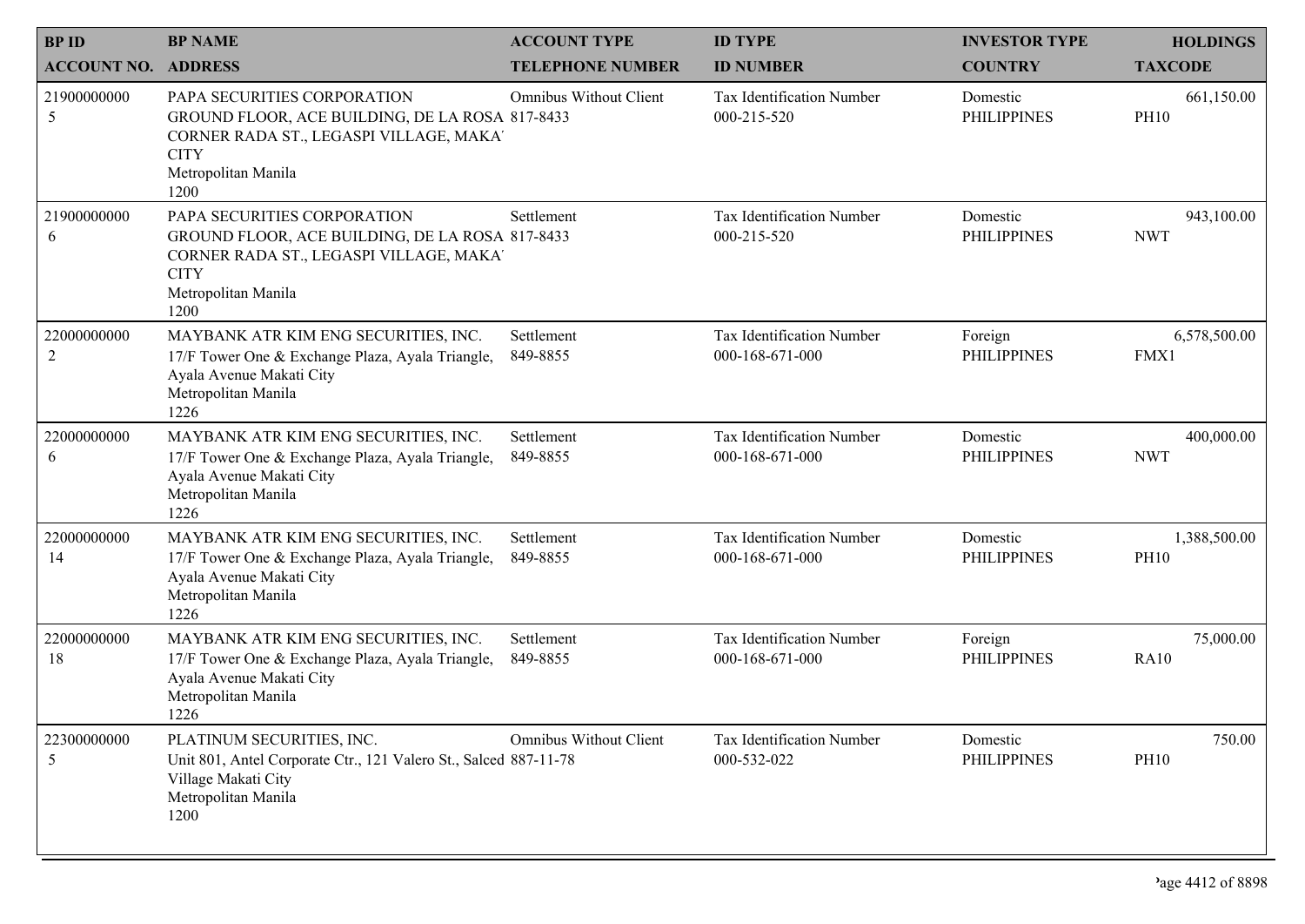| <b>BPID</b>        | <b>BP NAME</b>                                                                                                                                                          | <b>ACCOUNT TYPE</b>           | <b>ID TYPE</b>                               | <b>INVESTOR TYPE</b>           | <b>HOLDINGS</b>             |
|--------------------|-------------------------------------------------------------------------------------------------------------------------------------------------------------------------|-------------------------------|----------------------------------------------|--------------------------------|-----------------------------|
| <b>ACCOUNT NO.</b> | <b>ADDRESS</b>                                                                                                                                                          | <b>TELEPHONE NUMBER</b>       | <b>ID NUMBER</b>                             | <b>COUNTRY</b>                 | <b>TAXCODE</b>              |
| 21900000000<br>5   | PAPA SECURITIES CORPORATION<br>GROUND FLOOR, ACE BUILDING, DE LA ROSA 817-8433<br>CORNER RADA ST., LEGASPI VILLAGE, MAKA'<br><b>CITY</b><br>Metropolitan Manila<br>1200 | Omnibus Without Client        | Tax Identification Number<br>000-215-520     | Domestic<br><b>PHILIPPINES</b> | 661,150.00<br><b>PH10</b>   |
| 21900000000<br>6   | PAPA SECURITIES CORPORATION<br>GROUND FLOOR, ACE BUILDING, DE LA ROSA 817-8433<br>CORNER RADA ST., LEGASPI VILLAGE, MAKA'<br><b>CITY</b><br>Metropolitan Manila<br>1200 | Settlement                    | Tax Identification Number<br>000-215-520     | Domestic<br><b>PHILIPPINES</b> | 943,100.00<br><b>NWT</b>    |
| 22000000000<br>2   | MAYBANK ATR KIM ENG SECURITIES, INC.<br>17/F Tower One & Exchange Plaza, Ayala Triangle,<br>Ayala Avenue Makati City<br>Metropolitan Manila<br>1226                     | Settlement<br>849-8855        | Tax Identification Number<br>000-168-671-000 | Foreign<br><b>PHILIPPINES</b>  | 6,578,500.00<br>FMX1        |
| 22000000000<br>6   | MAYBANK ATR KIM ENG SECURITIES, INC.<br>17/F Tower One & Exchange Plaza, Ayala Triangle,<br>Ayala Avenue Makati City<br>Metropolitan Manila<br>1226                     | Settlement<br>849-8855        | Tax Identification Number<br>000-168-671-000 | Domestic<br><b>PHILIPPINES</b> | 400,000.00<br><b>NWT</b>    |
| 22000000000<br>14  | MAYBANK ATR KIM ENG SECURITIES, INC.<br>17/F Tower One & Exchange Plaza, Ayala Triangle,<br>Ayala Avenue Makati City<br>Metropolitan Manila<br>1226                     | Settlement<br>849-8855        | Tax Identification Number<br>000-168-671-000 | Domestic<br><b>PHILIPPINES</b> | 1,388,500.00<br><b>PH10</b> |
| 22000000000<br>18  | MAYBANK ATR KIM ENG SECURITIES, INC.<br>17/F Tower One & Exchange Plaza, Ayala Triangle,<br>Ayala Avenue Makati City<br>Metropolitan Manila<br>1226                     | Settlement<br>849-8855        | Tax Identification Number<br>000-168-671-000 | Foreign<br><b>PHILIPPINES</b>  | 75,000.00<br><b>RA10</b>    |
| 22300000000<br>5   | PLATINUM SECURITIES, INC.<br>Unit 801, Antel Corporate Ctr., 121 Valero St., Salced 887-11-78<br>Village Makati City<br>Metropolitan Manila<br>1200                     | <b>Omnibus Without Client</b> | Tax Identification Number<br>000-532-022     | Domestic<br><b>PHILIPPINES</b> | 750.00<br><b>PH10</b>       |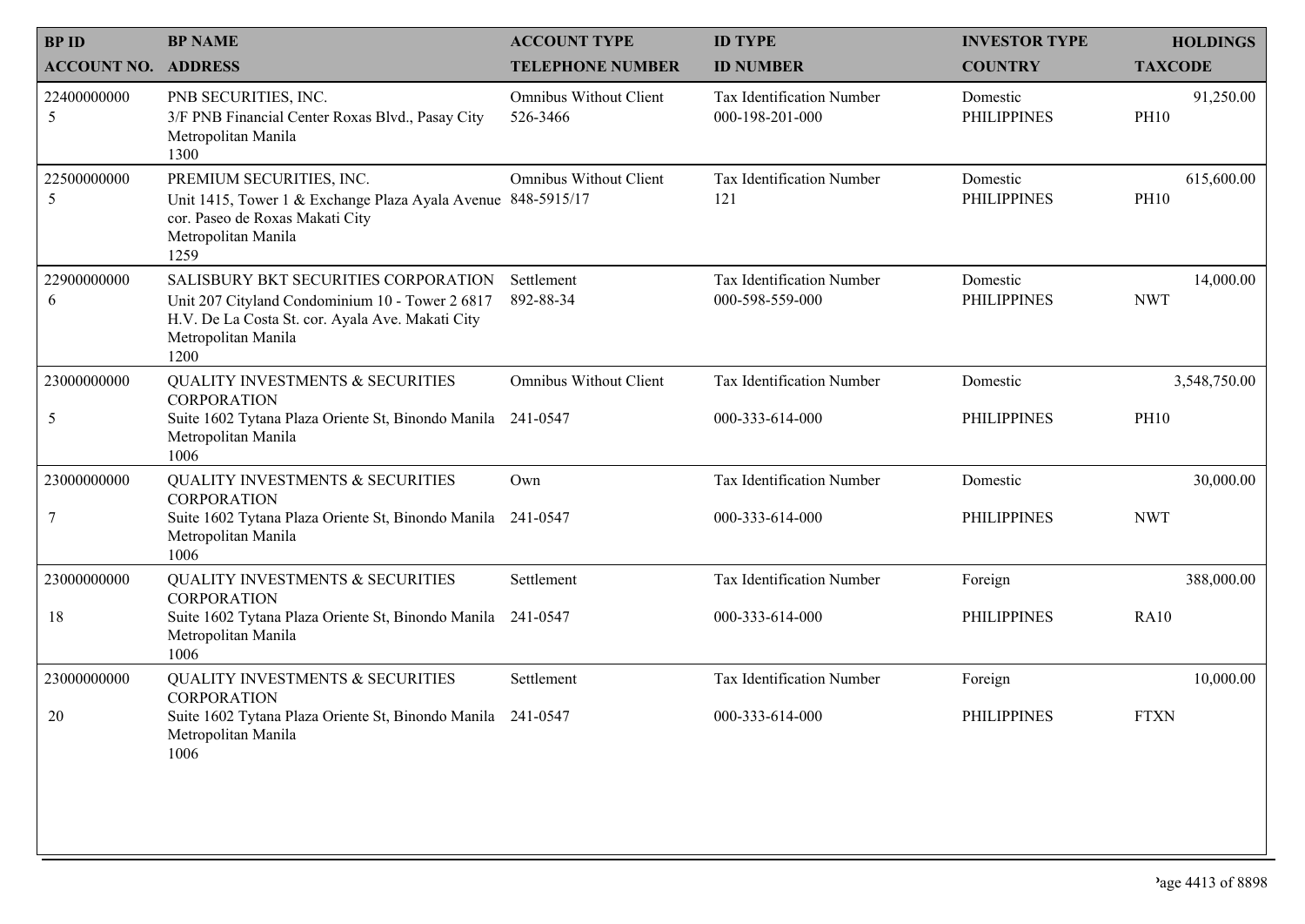| <b>BPID</b>                | <b>BP NAME</b>                                                                                                                                                             | <b>ACCOUNT TYPE</b>                       | <b>ID TYPE</b>                               | <b>INVESTOR TYPE</b>           | <b>HOLDINGS</b>           |
|----------------------------|----------------------------------------------------------------------------------------------------------------------------------------------------------------------------|-------------------------------------------|----------------------------------------------|--------------------------------|---------------------------|
| <b>ACCOUNT NO. ADDRESS</b> |                                                                                                                                                                            | <b>TELEPHONE NUMBER</b>                   | <b>ID NUMBER</b>                             | <b>COUNTRY</b>                 | <b>TAXCODE</b>            |
| 22400000000<br>5           | PNB SECURITIES, INC.<br>3/F PNB Financial Center Roxas Blvd., Pasay City<br>Metropolitan Manila<br>1300                                                                    | <b>Omnibus Without Client</b><br>526-3466 | Tax Identification Number<br>000-198-201-000 | Domestic<br><b>PHILIPPINES</b> | 91,250.00<br><b>PH10</b>  |
| 22500000000<br>5           | PREMIUM SECURITIES, INC.<br>Unit 1415, Tower 1 & Exchange Plaza Ayala Avenue 848-5915/17<br>cor. Paseo de Roxas Makati City<br>Metropolitan Manila<br>1259                 | <b>Omnibus Without Client</b>             | Tax Identification Number<br>121             | Domestic<br><b>PHILIPPINES</b> | 615,600.00<br><b>PH10</b> |
| 22900000000<br>6           | SALISBURY BKT SECURITIES CORPORATION<br>Unit 207 Cityland Condominium 10 - Tower 2 6817<br>H.V. De La Costa St. cor. Ayala Ave. Makati City<br>Metropolitan Manila<br>1200 | Settlement<br>892-88-34                   | Tax Identification Number<br>000-598-559-000 | Domestic<br><b>PHILIPPINES</b> | 14,000.00<br><b>NWT</b>   |
| 23000000000                | <b>QUALITY INVESTMENTS &amp; SECURITIES</b><br><b>CORPORATION</b>                                                                                                          | Omnibus Without Client                    | Tax Identification Number                    | Domestic                       | 3,548,750.00              |
| 5                          | Suite 1602 Tytana Plaza Oriente St, Binondo Manila 241-0547<br>Metropolitan Manila<br>1006                                                                                 |                                           | 000-333-614-000                              | <b>PHILIPPINES</b>             | <b>PH10</b>               |
| 23000000000                | <b>QUALITY INVESTMENTS &amp; SECURITIES</b><br><b>CORPORATION</b>                                                                                                          | Own                                       | Tax Identification Number                    | Domestic                       | 30,000.00                 |
| 7                          | Suite 1602 Tytana Plaza Oriente St, Binondo Manila<br>Metropolitan Manila<br>1006                                                                                          | 241-0547                                  | 000-333-614-000                              | <b>PHILIPPINES</b>             | <b>NWT</b>                |
| 23000000000                | QUALITY INVESTMENTS & SECURITIES<br><b>CORPORATION</b>                                                                                                                     | Settlement                                | Tax Identification Number                    | Foreign                        | 388,000.00                |
| 18                         | Suite 1602 Tytana Plaza Oriente St, Binondo Manila<br>Metropolitan Manila<br>1006                                                                                          | 241-0547                                  | 000-333-614-000                              | <b>PHILIPPINES</b>             | <b>RA10</b>               |
| 23000000000                | <b>QUALITY INVESTMENTS &amp; SECURITIES</b><br>CORPORATION                                                                                                                 | Settlement                                | Tax Identification Number                    | Foreign                        | 10,000.00                 |
| 20                         | Suite 1602 Tytana Plaza Oriente St, Binondo Manila 241-0547<br>Metropolitan Manila<br>1006                                                                                 |                                           | 000-333-614-000                              | <b>PHILIPPINES</b>             | <b>FTXN</b>               |
|                            |                                                                                                                                                                            |                                           |                                              |                                |                           |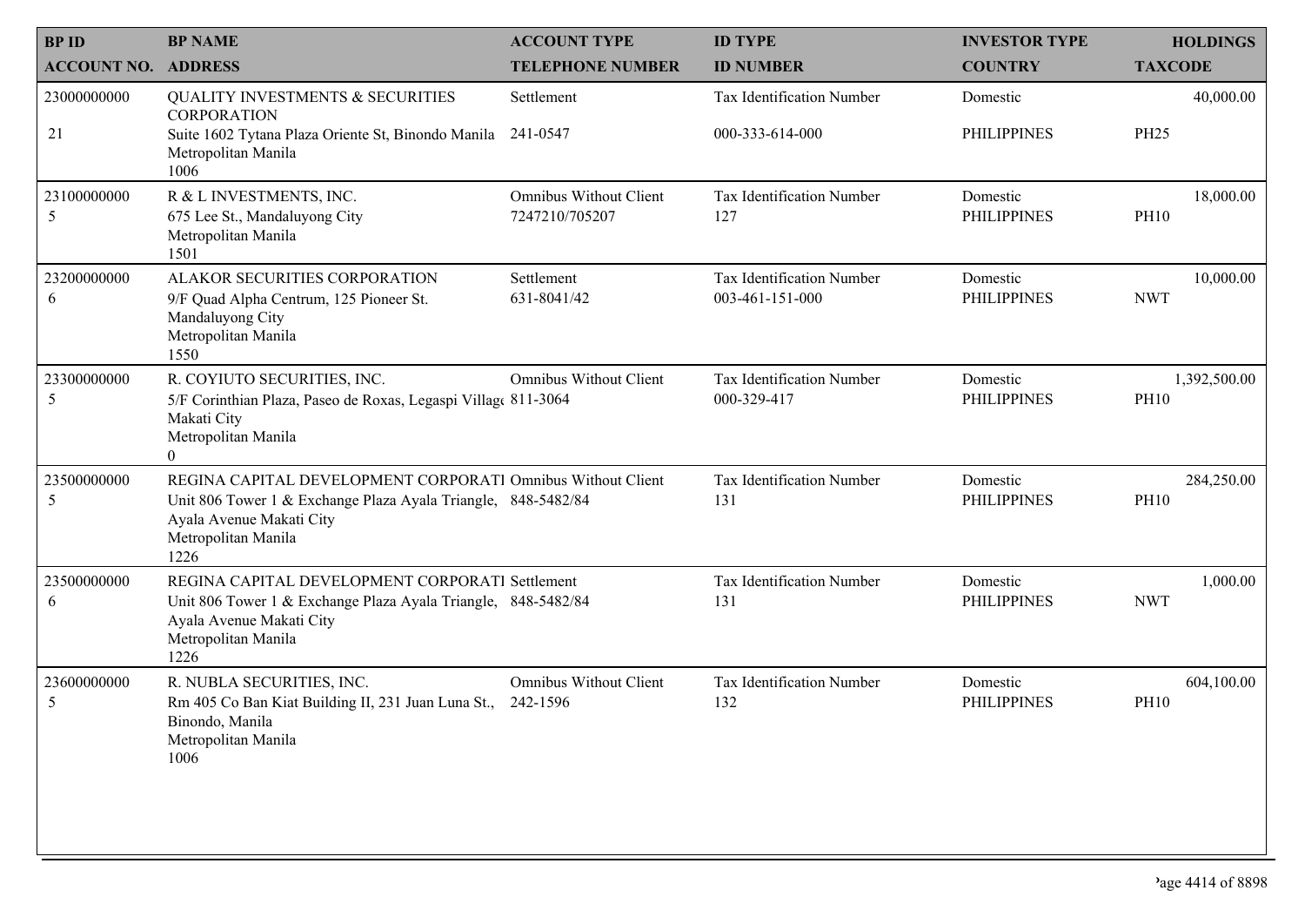| <b>BPID</b>                | <b>BP NAME</b>                                                                                                                                                                          | <b>ACCOUNT TYPE</b>                             | <b>ID TYPE</b>                               | <b>INVESTOR TYPE</b>           | <b>HOLDINGS</b>             |
|----------------------------|-----------------------------------------------------------------------------------------------------------------------------------------------------------------------------------------|-------------------------------------------------|----------------------------------------------|--------------------------------|-----------------------------|
| <b>ACCOUNT NO. ADDRESS</b> |                                                                                                                                                                                         | <b>TELEPHONE NUMBER</b>                         | <b>ID NUMBER</b>                             | <b>COUNTRY</b>                 | <b>TAXCODE</b>              |
| 23000000000<br>21          | <b>QUALITY INVESTMENTS &amp; SECURITIES</b><br><b>CORPORATION</b><br>Suite 1602 Tytana Plaza Oriente St, Binondo Manila                                                                 | Settlement<br>241-0547                          | Tax Identification Number<br>000-333-614-000 | Domestic<br><b>PHILIPPINES</b> | 40,000.00<br><b>PH25</b>    |
|                            | Metropolitan Manila<br>1006                                                                                                                                                             |                                                 |                                              |                                |                             |
| 23100000000<br>5           | R & L INVESTMENTS, INC.<br>675 Lee St., Mandaluyong City<br>Metropolitan Manila<br>1501                                                                                                 | <b>Omnibus Without Client</b><br>7247210/705207 | Tax Identification Number<br>127             | Domestic<br><b>PHILIPPINES</b> | 18,000.00<br><b>PH10</b>    |
| 23200000000<br>6           | ALAKOR SECURITIES CORPORATION<br>9/F Quad Alpha Centrum, 125 Pioneer St.<br>Mandaluyong City<br>Metropolitan Manila<br>1550                                                             | Settlement<br>631-8041/42                       | Tax Identification Number<br>003-461-151-000 | Domestic<br><b>PHILIPPINES</b> | 10,000.00<br><b>NWT</b>     |
| 23300000000<br>5           | R. COYIUTO SECURITIES, INC.<br>5/F Corinthian Plaza, Paseo de Roxas, Legaspi Village 811-3064<br>Makati City<br>Metropolitan Manila<br>$\overline{0}$                                   | <b>Omnibus Without Client</b>                   | Tax Identification Number<br>000-329-417     | Domestic<br><b>PHILIPPINES</b> | 1,392,500.00<br><b>PH10</b> |
| 23500000000<br>5           | REGINA CAPITAL DEVELOPMENT CORPORATI Omnibus Without Client<br>Unit 806 Tower 1 & Exchange Plaza Ayala Triangle, 848-5482/84<br>Ayala Avenue Makati City<br>Metropolitan Manila<br>1226 |                                                 | Tax Identification Number<br>131             | Domestic<br><b>PHILIPPINES</b> | 284,250.00<br><b>PH10</b>   |
| 23500000000<br>6           | REGINA CAPITAL DEVELOPMENT CORPORATI Settlement<br>Unit 806 Tower 1 & Exchange Plaza Ayala Triangle, 848-5482/84<br>Ayala Avenue Makati City<br>Metropolitan Manila<br>1226             |                                                 | Tax Identification Number<br>131             | Domestic<br><b>PHILIPPINES</b> | 1,000.00<br><b>NWT</b>      |
| 23600000000<br>5           | R. NUBLA SECURITIES, INC.<br>Rm 405 Co Ban Kiat Building II, 231 Juan Luna St.,<br>Binondo, Manila<br>Metropolitan Manila<br>1006                                                       | Omnibus Without Client<br>242-1596              | Tax Identification Number<br>132             | Domestic<br><b>PHILIPPINES</b> | 604,100.00<br><b>PH10</b>   |
|                            |                                                                                                                                                                                         |                                                 |                                              |                                |                             |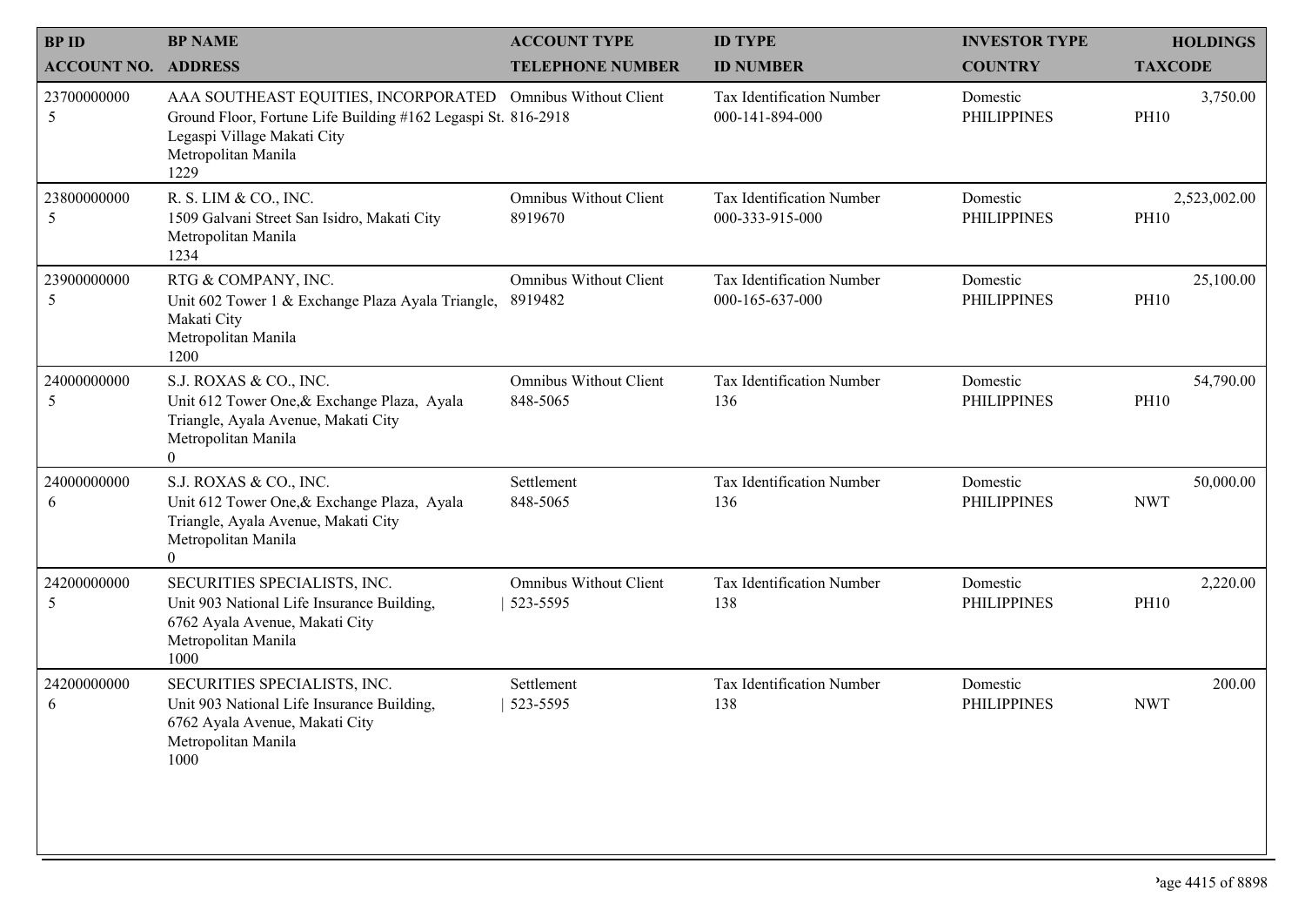| <b>BP NAME</b>                                                                                                                                        | <b>ACCOUNT TYPE</b>                      | <b>ID TYPE</b>                                                                                                               | <b>INVESTOR TYPE</b>           | <b>HOLDINGS</b>             |
|-------------------------------------------------------------------------------------------------------------------------------------------------------|------------------------------------------|------------------------------------------------------------------------------------------------------------------------------|--------------------------------|-----------------------------|
| <b>ACCOUNT NO. ADDRESS</b>                                                                                                                            | <b>TELEPHONE NUMBER</b>                  | <b>ID NUMBER</b>                                                                                                             | <b>COUNTRY</b>                 | <b>TAXCODE</b>              |
| Legaspi Village Makati City<br>Metropolitan Manila<br>1229                                                                                            |                                          | Tax Identification Number<br>000-141-894-000                                                                                 | Domestic<br><b>PHILIPPINES</b> | 3,750.00<br><b>PH10</b>     |
| R. S. LIM & CO., INC.<br>1509 Galvani Street San Isidro, Makati City<br>Metropolitan Manila<br>1234                                                   | Omnibus Without Client<br>8919670        | Tax Identification Number<br>000-333-915-000                                                                                 | Domestic<br><b>PHILIPPINES</b> | 2,523,002.00<br><b>PH10</b> |
| RTG & COMPANY, INC.<br>Unit 602 Tower 1 & Exchange Plaza Ayala Triangle,<br>Makati City<br>Metropolitan Manila<br>1200                                | <b>Omnibus Without Client</b><br>8919482 | Tax Identification Number<br>000-165-637-000                                                                                 | Domestic<br><b>PHILIPPINES</b> | 25,100.00<br><b>PH10</b>    |
| S.J. ROXAS & CO., INC.<br>Unit 612 Tower One, & Exchange Plaza, Ayala<br>Triangle, Ayala Avenue, Makati City<br>Metropolitan Manila<br>$\overline{0}$ | Omnibus Without Client<br>848-5065       | Tax Identification Number<br>136                                                                                             | Domestic<br><b>PHILIPPINES</b> | 54,790.00<br><b>PH10</b>    |
| S.J. ROXAS & CO., INC.<br>Unit 612 Tower One, & Exchange Plaza, Ayala<br>Triangle, Ayala Avenue, Makati City<br>Metropolitan Manila<br>$\theta$       | Settlement<br>848-5065                   | Tax Identification Number<br>136                                                                                             | Domestic<br><b>PHILIPPINES</b> | 50,000.00<br><b>NWT</b>     |
| SECURITIES SPECIALISTS, INC.<br>Unit 903 National Life Insurance Building,<br>6762 Ayala Avenue, Makati City<br>Metropolitan Manila<br>1000           | Omnibus Without Client<br>523-5595       | Tax Identification Number<br>138                                                                                             | Domestic<br><b>PHILIPPINES</b> | 2,220.00<br><b>PH10</b>     |
| SECURITIES SPECIALISTS, INC.<br>Unit 903 National Life Insurance Building,<br>6762 Ayala Avenue, Makati City<br>Metropolitan Manila<br>1000           | Settlement<br>523-5595                   | Tax Identification Number<br>138                                                                                             | Domestic<br><b>PHILIPPINES</b> | 200.00<br><b>NWT</b>        |
|                                                                                                                                                       |                                          | AAA SOUTHEAST EQUITIES, INCORPORATED Omnibus Without Client<br>Ground Floor, Fortune Life Building #162 Legaspi St. 816-2918 |                                |                             |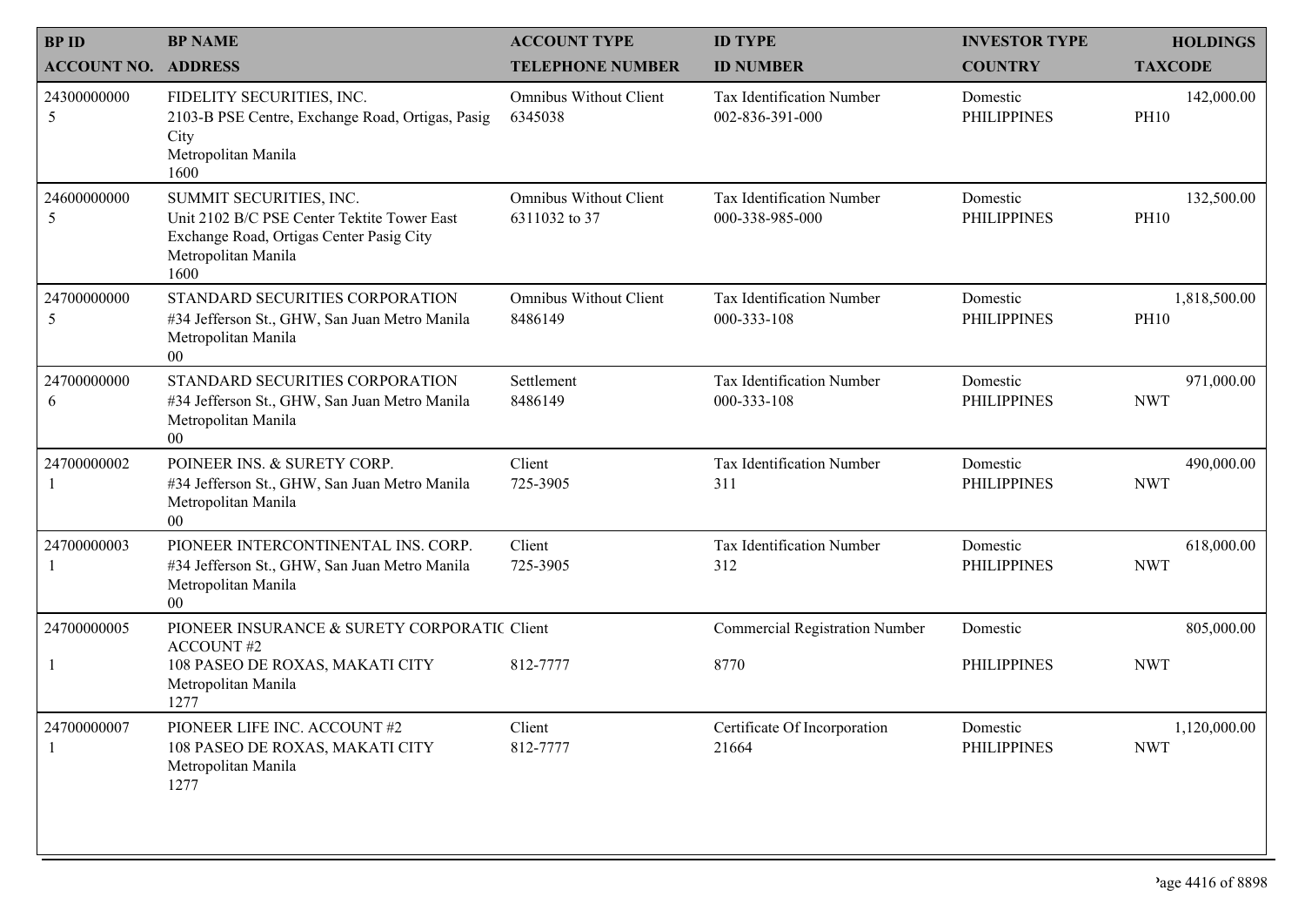| <b>BPID</b>                | <b>BP NAME</b>                                                                                                                                    | <b>ACCOUNT TYPE</b>                            | <b>ID TYPE</b>                                      | <b>INVESTOR TYPE</b>           | <b>HOLDINGS</b>             |
|----------------------------|---------------------------------------------------------------------------------------------------------------------------------------------------|------------------------------------------------|-----------------------------------------------------|--------------------------------|-----------------------------|
| <b>ACCOUNT NO. ADDRESS</b> |                                                                                                                                                   | <b>TELEPHONE NUMBER</b>                        | <b>ID NUMBER</b>                                    | <b>COUNTRY</b>                 | <b>TAXCODE</b>              |
| 24300000000<br>5           | FIDELITY SECURITIES, INC.<br>2103-B PSE Centre, Exchange Road, Ortigas, Pasig<br>City<br>Metropolitan Manila<br>1600                              | <b>Omnibus Without Client</b><br>6345038       | Tax Identification Number<br>002-836-391-000        | Domestic<br><b>PHILIPPINES</b> | 142,000.00<br><b>PH10</b>   |
| 24600000000<br>5           | SUMMIT SECURITIES, INC.<br>Unit 2102 B/C PSE Center Tektite Tower East<br>Exchange Road, Ortigas Center Pasig City<br>Metropolitan Manila<br>1600 | <b>Omnibus Without Client</b><br>6311032 to 37 | <b>Tax Identification Number</b><br>000-338-985-000 | Domestic<br><b>PHILIPPINES</b> | 132,500.00<br><b>PH10</b>   |
| 24700000000<br>5           | STANDARD SECURITIES CORPORATION<br>#34 Jefferson St., GHW, San Juan Metro Manila<br>Metropolitan Manila<br>00                                     | <b>Omnibus Without Client</b><br>8486149       | Tax Identification Number<br>000-333-108            | Domestic<br><b>PHILIPPINES</b> | 1,818,500.00<br><b>PH10</b> |
| 24700000000<br>6           | STANDARD SECURITIES CORPORATION<br>#34 Jefferson St., GHW, San Juan Metro Manila<br>Metropolitan Manila<br>$00\,$                                 | Settlement<br>8486149                          | <b>Tax Identification Number</b><br>000-333-108     | Domestic<br><b>PHILIPPINES</b> | 971,000.00<br><b>NWT</b>    |
| 24700000002                | POINEER INS. & SURETY CORP.<br>#34 Jefferson St., GHW, San Juan Metro Manila<br>Metropolitan Manila<br>$00\,$                                     | Client<br>725-3905                             | Tax Identification Number<br>311                    | Domestic<br><b>PHILIPPINES</b> | 490,000.00<br><b>NWT</b>    |
| 24700000003                | PIONEER INTERCONTINENTAL INS. CORP.<br>#34 Jefferson St., GHW, San Juan Metro Manila<br>Metropolitan Manila<br>$00\,$                             | Client<br>725-3905                             | Tax Identification Number<br>312                    | Domestic<br><b>PHILIPPINES</b> | 618,000.00<br><b>NWT</b>    |
| 24700000005                | PIONEER INSURANCE & SURETY CORPORATIC Client<br><b>ACCOUNT#2</b>                                                                                  |                                                | <b>Commercial Registration Number</b>               | Domestic                       | 805,000.00                  |
|                            | 108 PASEO DE ROXAS, MAKATI CITY<br>Metropolitan Manila<br>1277                                                                                    | 812-7777                                       | 8770                                                | <b>PHILIPPINES</b>             | <b>NWT</b>                  |
| 24700000007                | PIONEER LIFE INC. ACCOUNT #2<br>108 PASEO DE ROXAS, MAKATI CITY<br>Metropolitan Manila<br>1277                                                    | Client<br>812-7777                             | Certificate Of Incorporation<br>21664               | Domestic<br><b>PHILIPPINES</b> | 1,120,000.00<br><b>NWT</b>  |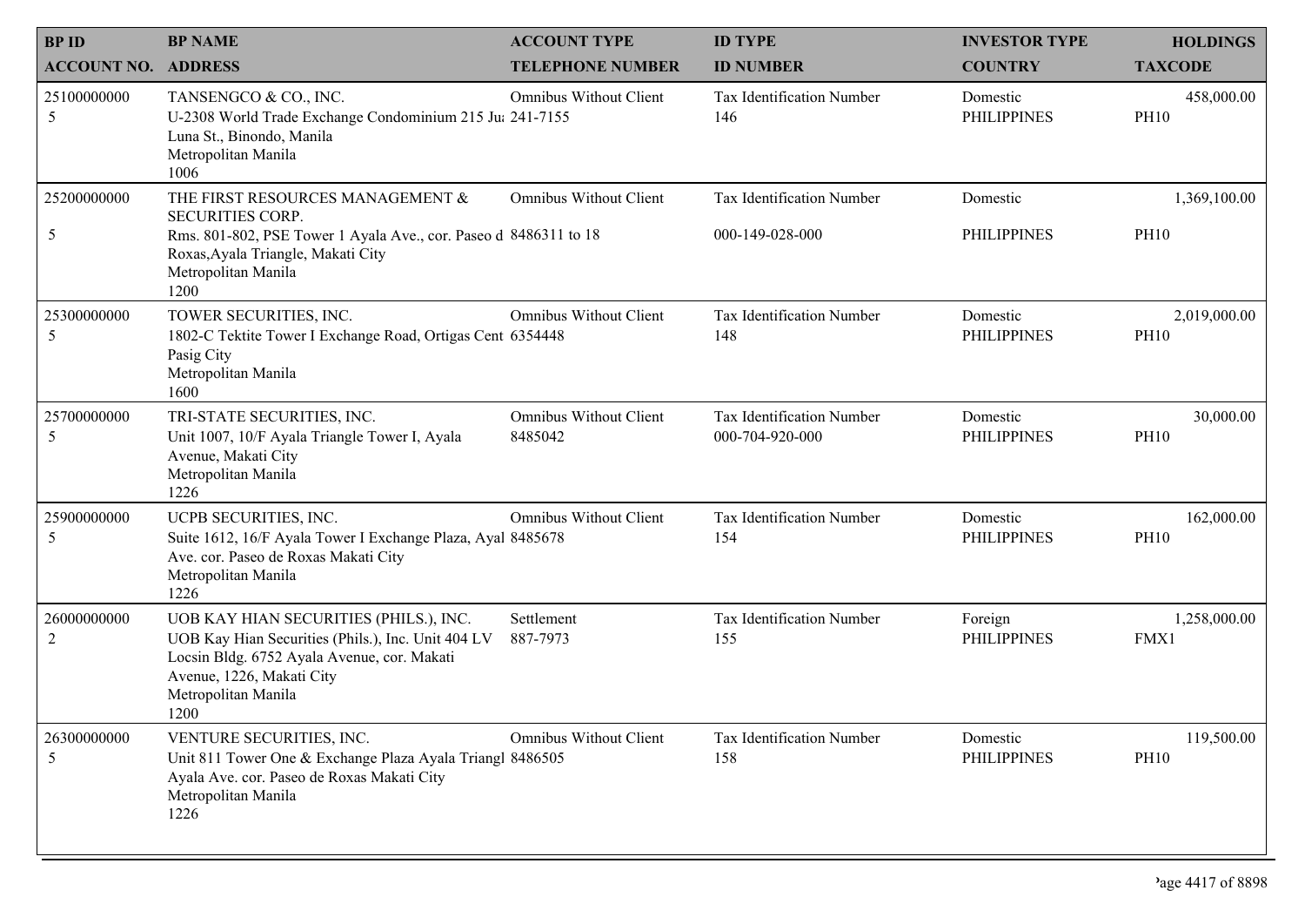| <b>BPID</b>                   | <b>BP NAME</b>                                                                                                                                                                                          | <b>ACCOUNT TYPE</b>                      | <b>ID TYPE</b>                               | <b>INVESTOR TYPE</b>           | <b>HOLDINGS</b>             |
|-------------------------------|---------------------------------------------------------------------------------------------------------------------------------------------------------------------------------------------------------|------------------------------------------|----------------------------------------------|--------------------------------|-----------------------------|
| <b>ACCOUNT NO. ADDRESS</b>    |                                                                                                                                                                                                         | <b>TELEPHONE NUMBER</b>                  | <b>ID NUMBER</b>                             | <b>COUNTRY</b>                 | <b>TAXCODE</b>              |
| 25100000000<br>5              | TANSENGCO & CO., INC.<br>U-2308 World Trade Exchange Condominium 215 Jul 241-7155<br>Luna St., Binondo, Manila<br>Metropolitan Manila<br>1006                                                           | <b>Omnibus Without Client</b>            | Tax Identification Number<br>146             | Domestic<br><b>PHILIPPINES</b> | 458,000.00<br><b>PH10</b>   |
| 25200000000<br>5              | THE FIRST RESOURCES MANAGEMENT &<br><b>SECURITIES CORP.</b><br>Rms. 801-802, PSE Tower 1 Ayala Ave., cor. Paseo d 8486311 to 18<br>Roxas, Ayala Triangle, Makati City<br>Metropolitan Manila<br>1200    | <b>Omnibus Without Client</b>            | Tax Identification Number<br>000-149-028-000 | Domestic<br><b>PHILIPPINES</b> | 1,369,100.00<br><b>PH10</b> |
| 25300000000<br>5              | TOWER SECURITIES, INC.<br>1802-C Tektite Tower I Exchange Road, Ortigas Cent 6354448<br>Pasig City<br>Metropolitan Manila<br>1600                                                                       | <b>Omnibus Without Client</b>            | Tax Identification Number<br>148             | Domestic<br><b>PHILIPPINES</b> | 2,019,000.00<br><b>PH10</b> |
| 25700000000<br>5              | TRI-STATE SECURITIES, INC.<br>Unit 1007, 10/F Ayala Triangle Tower I, Ayala<br>Avenue, Makati City<br>Metropolitan Manila<br>1226                                                                       | <b>Omnibus Without Client</b><br>8485042 | Tax Identification Number<br>000-704-920-000 | Domestic<br><b>PHILIPPINES</b> | 30,000.00<br><b>PH10</b>    |
| 25900000000<br>5              | UCPB SECURITIES, INC.<br>Suite 1612, 16/F Ayala Tower I Exchange Plaza, Ayal 8485678<br>Ave. cor. Paseo de Roxas Makati City<br>Metropolitan Manila<br>1226                                             | <b>Omnibus Without Client</b>            | Tax Identification Number<br>154             | Domestic<br><b>PHILIPPINES</b> | 162,000.00<br><b>PH10</b>   |
| 26000000000<br>$\overline{2}$ | UOB KAY HIAN SECURITIES (PHILS.), INC.<br>UOB Kay Hian Securities (Phils.), Inc. Unit 404 LV<br>Locsin Bldg. 6752 Ayala Avenue, cor. Makati<br>Avenue, 1226, Makati City<br>Metropolitan Manila<br>1200 | Settlement<br>887-7973                   | Tax Identification Number<br>155             | Foreign<br><b>PHILIPPINES</b>  | 1,258,000.00<br>FMX1        |
| 26300000000<br>5              | VENTURE SECURITIES, INC.<br>Unit 811 Tower One & Exchange Plaza Ayala Triangl 8486505<br>Ayala Ave. cor. Paseo de Roxas Makati City<br>Metropolitan Manila<br>1226                                      | <b>Omnibus Without Client</b>            | Tax Identification Number<br>158             | Domestic<br><b>PHILIPPINES</b> | 119,500.00<br><b>PH10</b>   |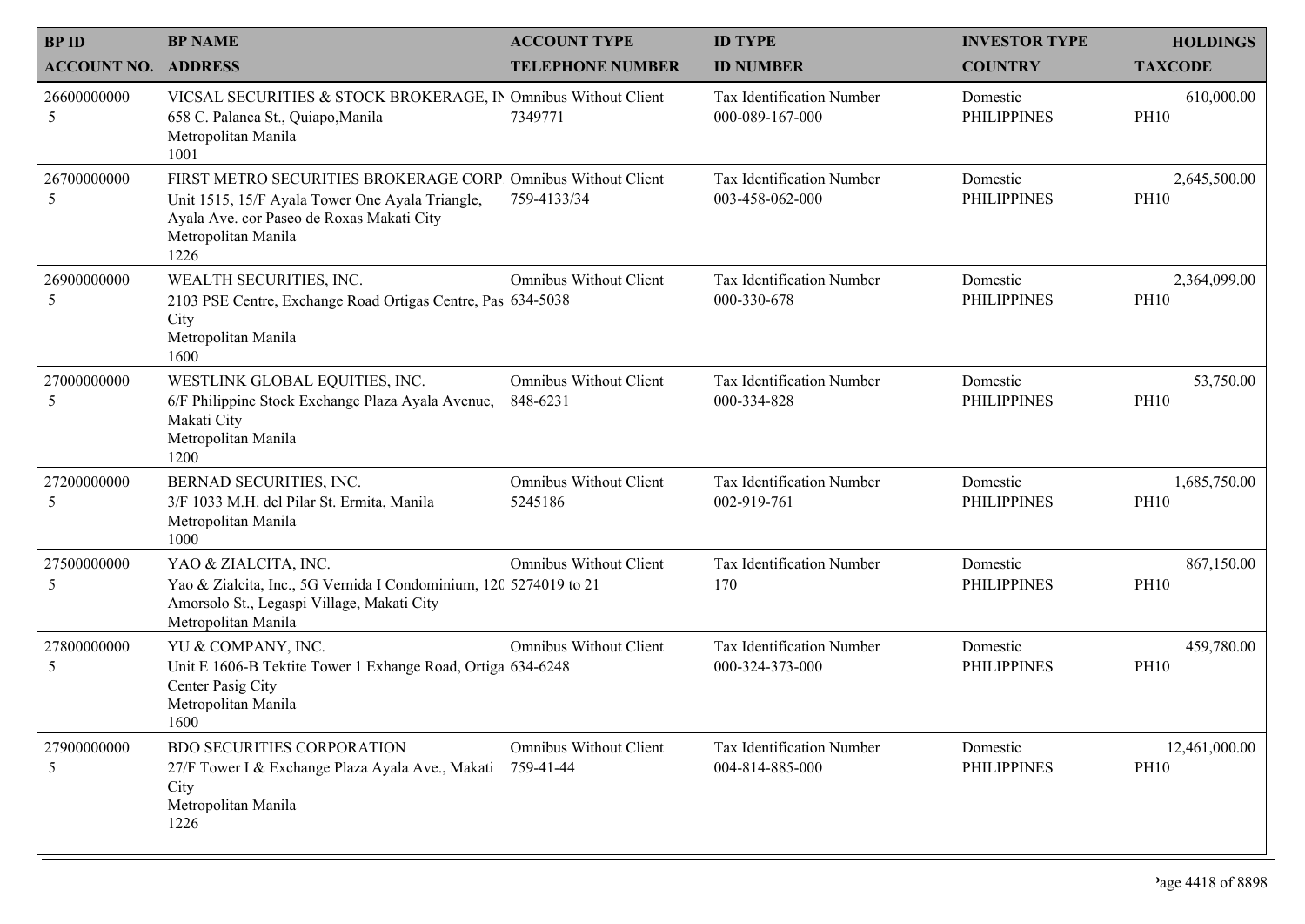| <b>BPID</b>                | <b>BP NAME</b>                                                                                                                                                                               | <b>ACCOUNT TYPE</b>                        | <b>ID TYPE</b>                               | <b>INVESTOR TYPE</b>           | <b>HOLDINGS</b>              |
|----------------------------|----------------------------------------------------------------------------------------------------------------------------------------------------------------------------------------------|--------------------------------------------|----------------------------------------------|--------------------------------|------------------------------|
| <b>ACCOUNT NO. ADDRESS</b> |                                                                                                                                                                                              | <b>TELEPHONE NUMBER</b>                    | <b>ID NUMBER</b>                             | <b>COUNTRY</b>                 | <b>TAXCODE</b>               |
| 26600000000<br>5           | VICSAL SECURITIES & STOCK BROKERAGE, IN Omnibus Without Client<br>658 C. Palanca St., Quiapo, Manila<br>Metropolitan Manila<br>1001                                                          | 7349771                                    | Tax Identification Number<br>000-089-167-000 | Domestic<br><b>PHILIPPINES</b> | 610,000.00<br><b>PH10</b>    |
| 26700000000<br>5           | FIRST METRO SECURITIES BROKERAGE CORP. Omnibus Without Client<br>Unit 1515, 15/F Ayala Tower One Ayala Triangle,<br>Ayala Ave. cor Paseo de Roxas Makati City<br>Metropolitan Manila<br>1226 | 759-4133/34                                | Tax Identification Number<br>003-458-062-000 | Domestic<br><b>PHILIPPINES</b> | 2,645,500.00<br><b>PH10</b>  |
| 26900000000<br>5           | WEALTH SECURITIES, INC.<br>2103 PSE Centre, Exchange Road Ortigas Centre, Pas 634-5038<br>City<br>Metropolitan Manila<br>1600                                                                | <b>Omnibus Without Client</b>              | Tax Identification Number<br>000-330-678     | Domestic<br><b>PHILIPPINES</b> | 2,364,099.00<br><b>PH10</b>  |
| 27000000000<br>5           | WESTLINK GLOBAL EQUITIES, INC.<br>6/F Philippine Stock Exchange Plaza Ayala Avenue,<br>Makati City<br>Metropolitan Manila<br>1200                                                            | <b>Omnibus Without Client</b><br>848-6231  | Tax Identification Number<br>000-334-828     | Domestic<br><b>PHILIPPINES</b> | 53,750.00<br><b>PH10</b>     |
| 27200000000<br>5           | BERNAD SECURITIES, INC.<br>3/F 1033 M.H. del Pilar St. Ermita, Manila<br>Metropolitan Manila<br>1000                                                                                         | <b>Omnibus Without Client</b><br>5245186   | Tax Identification Number<br>002-919-761     | Domestic<br><b>PHILIPPINES</b> | 1,685,750.00<br><b>PH10</b>  |
| 27500000000<br>5           | YAO & ZIALCITA, INC.<br>Yao & Zialcita, Inc., 5G Vernida I Condominium, 120 5274019 to 21<br>Amorsolo St., Legaspi Village, Makati City<br>Metropolitan Manila                               | <b>Omnibus Without Client</b>              | Tax Identification Number<br>170             | Domestic<br><b>PHILIPPINES</b> | 867,150.00<br><b>PH10</b>    |
| 27800000000<br>5           | YU & COMPANY, INC.<br>Unit E 1606-B Tektite Tower 1 Exhange Road, Ortiga 634-6248<br>Center Pasig City<br>Metropolitan Manila<br>1600                                                        | <b>Omnibus Without Client</b>              | Tax Identification Number<br>000-324-373-000 | Domestic<br><b>PHILIPPINES</b> | 459,780.00<br><b>PH10</b>    |
| 27900000000<br>5           | <b>BDO SECURITIES CORPORATION</b><br>27/F Tower I & Exchange Plaza Ayala Ave., Makati<br>City<br>Metropolitan Manila<br>1226                                                                 | <b>Omnibus Without Client</b><br>759-41-44 | Tax Identification Number<br>004-814-885-000 | Domestic<br><b>PHILIPPINES</b> | 12,461,000.00<br><b>PH10</b> |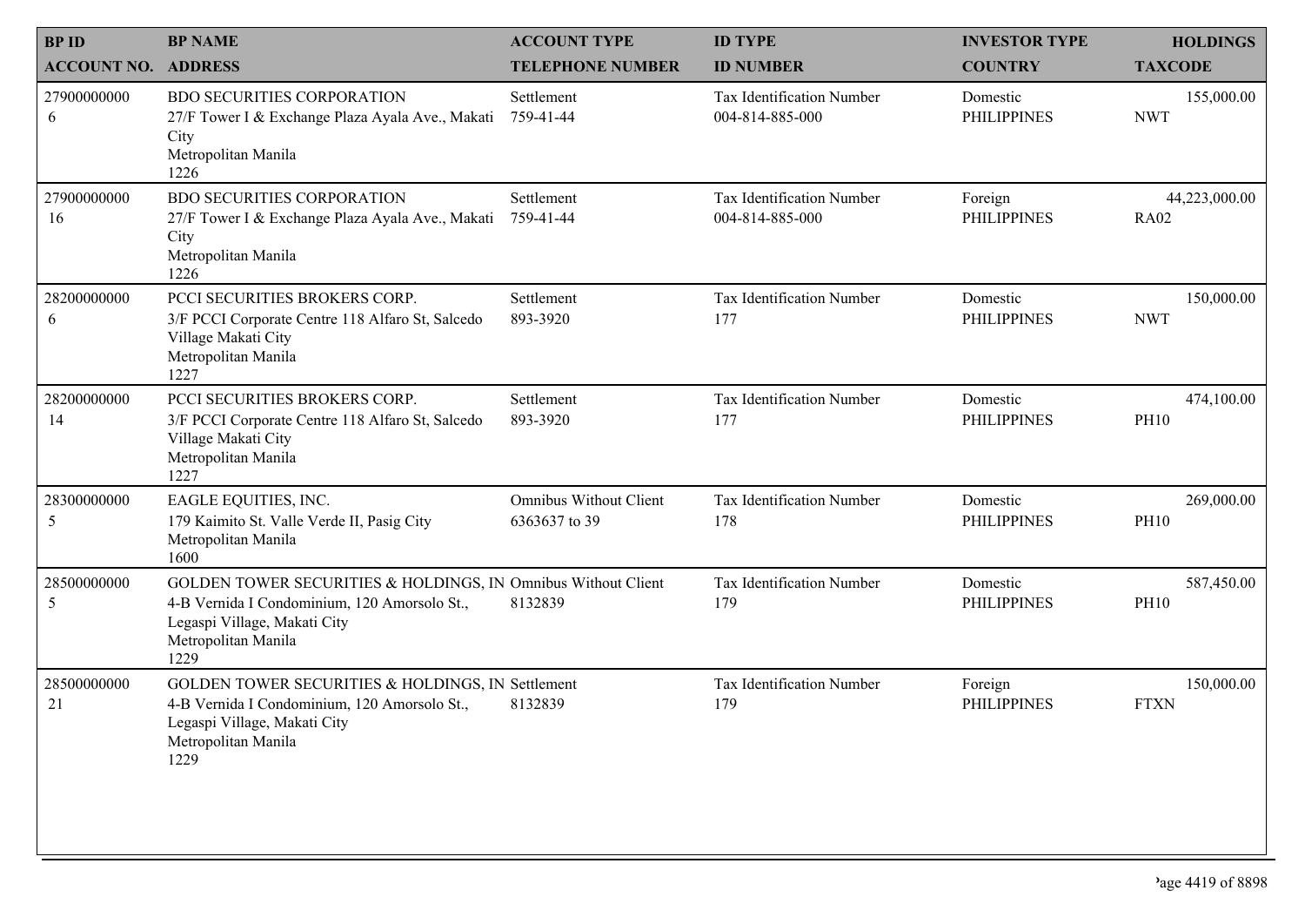| <b>BPID</b>        | <b>BP NAME</b>                                                                                                                                                               | <b>ACCOUNT TYPE</b>                            | <b>ID TYPE</b>                               | <b>INVESTOR TYPE</b>           | <b>HOLDINGS</b>              |
|--------------------|------------------------------------------------------------------------------------------------------------------------------------------------------------------------------|------------------------------------------------|----------------------------------------------|--------------------------------|------------------------------|
| <b>ACCOUNT NO.</b> | <b>ADDRESS</b>                                                                                                                                                               | <b>TELEPHONE NUMBER</b>                        | <b>ID NUMBER</b>                             | <b>COUNTRY</b>                 | <b>TAXCODE</b>               |
| 27900000000<br>6   | <b>BDO SECURITIES CORPORATION</b><br>27/F Tower I & Exchange Plaza Ayala Ave., Makati<br>City<br>Metropolitan Manila<br>1226                                                 | Settlement<br>759-41-44                        | Tax Identification Number<br>004-814-885-000 | Domestic<br><b>PHILIPPINES</b> | 155,000.00<br><b>NWT</b>     |
| 27900000000<br>16  | <b>BDO SECURITIES CORPORATION</b><br>27/F Tower I & Exchange Plaza Ayala Ave., Makati<br>City<br>Metropolitan Manila<br>1226                                                 | Settlement<br>759-41-44                        | Tax Identification Number<br>004-814-885-000 | Foreign<br><b>PHILIPPINES</b>  | 44,223,000.00<br><b>RA02</b> |
| 28200000000<br>6   | PCCI SECURITIES BROKERS CORP.<br>3/F PCCI Corporate Centre 118 Alfaro St, Salcedo<br>Village Makati City<br>Metropolitan Manila<br>1227                                      | Settlement<br>893-3920                         | Tax Identification Number<br>177             | Domestic<br><b>PHILIPPINES</b> | 150,000.00<br><b>NWT</b>     |
| 28200000000<br>14  | PCCI SECURITIES BROKERS CORP.<br>3/F PCCI Corporate Centre 118 Alfaro St, Salcedo<br>Village Makati City<br>Metropolitan Manila<br>1227                                      | Settlement<br>893-3920                         | Tax Identification Number<br>177             | Domestic<br><b>PHILIPPINES</b> | 474,100.00<br><b>PH10</b>    |
| 28300000000<br>5   | EAGLE EQUITIES, INC.<br>179 Kaimito St. Valle Verde II, Pasig City<br>Metropolitan Manila<br>1600                                                                            | <b>Omnibus Without Client</b><br>6363637 to 39 | Tax Identification Number<br>178             | Domestic<br><b>PHILIPPINES</b> | 269,000.00<br><b>PH10</b>    |
| 28500000000<br>5   | GOLDEN TOWER SECURITIES & HOLDINGS, IN Omnibus Without Client<br>4-B Vernida I Condominium, 120 Amorsolo St.,<br>Legaspi Village, Makati City<br>Metropolitan Manila<br>1229 | 8132839                                        | Tax Identification Number<br>179             | Domestic<br><b>PHILIPPINES</b> | 587,450.00<br><b>PH10</b>    |
| 28500000000<br>21  | <b>GOLDEN TOWER SECURITIES &amp; HOLDINGS, IN Settlement</b><br>4-B Vernida I Condominium, 120 Amorsolo St.,<br>Legaspi Village, Makati City<br>Metropolitan Manila<br>1229  | 8132839                                        | Tax Identification Number<br>179             | Foreign<br><b>PHILIPPINES</b>  | 150,000.00<br><b>FTXN</b>    |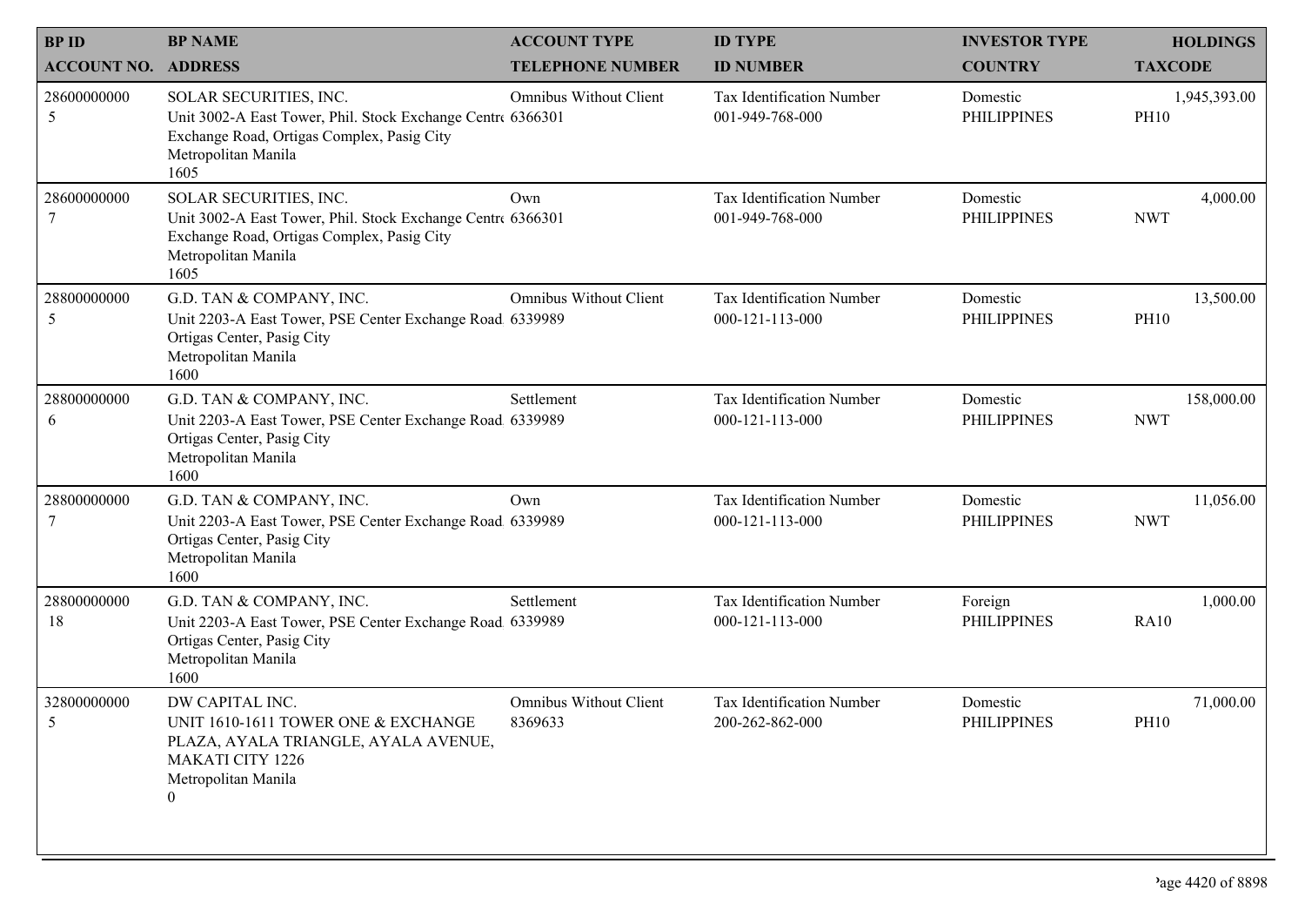| <b>BPID</b>                | <b>BP NAME</b>                                                                                                                                                     | <b>ACCOUNT TYPE</b>                      | <b>ID TYPE</b>                                      | <b>INVESTOR TYPE</b>           | <b>HOLDINGS</b>             |
|----------------------------|--------------------------------------------------------------------------------------------------------------------------------------------------------------------|------------------------------------------|-----------------------------------------------------|--------------------------------|-----------------------------|
| <b>ACCOUNT NO. ADDRESS</b> |                                                                                                                                                                    | <b>TELEPHONE NUMBER</b>                  | <b>ID NUMBER</b>                                    | <b>COUNTRY</b>                 | <b>TAXCODE</b>              |
| 28600000000<br>5           | SOLAR SECURITIES, INC.<br>Unit 3002-A East Tower, Phil. Stock Exchange Centre 6366301<br>Exchange Road, Ortigas Complex, Pasig City<br>Metropolitan Manila<br>1605 | <b>Omnibus Without Client</b>            | Tax Identification Number<br>001-949-768-000        | Domestic<br><b>PHILIPPINES</b> | 1,945,393.00<br><b>PH10</b> |
| 28600000000<br>7           | SOLAR SECURITIES, INC.<br>Unit 3002-A East Tower, Phil. Stock Exchange Centre 6366301<br>Exchange Road, Ortigas Complex, Pasig City<br>Metropolitan Manila<br>1605 | Own                                      | <b>Tax Identification Number</b><br>001-949-768-000 | Domestic<br><b>PHILIPPINES</b> | 4,000.00<br><b>NWT</b>      |
| 28800000000<br>5           | G.D. TAN & COMPANY, INC.<br>Unit 2203-A East Tower, PSE Center Exchange Road. 6339989<br>Ortigas Center, Pasig City<br>Metropolitan Manila<br>1600                 | <b>Omnibus Without Client</b>            | Tax Identification Number<br>000-121-113-000        | Domestic<br><b>PHILIPPINES</b> | 13,500.00<br><b>PH10</b>    |
| 28800000000<br>6           | G.D. TAN & COMPANY, INC.<br>Unit 2203-A East Tower, PSE Center Exchange Road 6339989<br>Ortigas Center, Pasig City<br>Metropolitan Manila<br>1600                  | Settlement                               | <b>Tax Identification Number</b><br>000-121-113-000 | Domestic<br><b>PHILIPPINES</b> | 158,000.00<br><b>NWT</b>    |
| 28800000000                | G.D. TAN & COMPANY, INC.<br>Unit 2203-A East Tower, PSE Center Exchange Road 6339989<br>Ortigas Center, Pasig City<br>Metropolitan Manila<br>1600                  | Own                                      | <b>Tax Identification Number</b><br>000-121-113-000 | Domestic<br><b>PHILIPPINES</b> | 11,056.00<br><b>NWT</b>     |
| 28800000000<br>18          | G.D. TAN & COMPANY, INC.<br>Unit 2203-A East Tower, PSE Center Exchange Road 6339989<br>Ortigas Center, Pasig City<br>Metropolitan Manila<br>1600                  | Settlement                               | Tax Identification Number<br>000-121-113-000        | Foreign<br><b>PHILIPPINES</b>  | 1,000.00<br><b>RA10</b>     |
| 32800000000<br>5           | DW CAPITAL INC.<br>UNIT 1610-1611 TOWER ONE & EXCHANGE<br>PLAZA, AYALA TRIANGLE, AYALA AVENUE,<br><b>MAKATI CITY 1226</b><br>Metropolitan Manila<br>$\overline{0}$ | <b>Omnibus Without Client</b><br>8369633 | Tax Identification Number<br>200-262-862-000        | Domestic<br><b>PHILIPPINES</b> | 71,000.00<br><b>PH10</b>    |